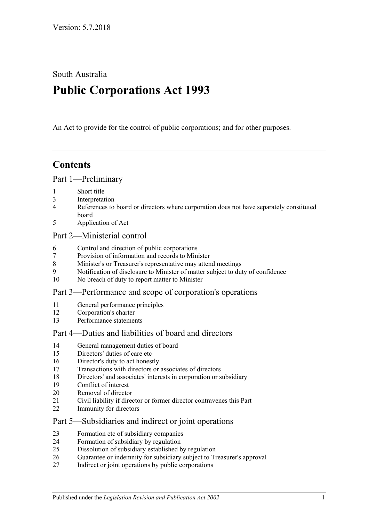South Australia

# **Public Corporations Act 1993**

An Act to provide for the control of public corporations; and for other purposes.

# **Contents**

#### [Part 1—Preliminary](#page-2-0)

- [Short title](#page-2-1)
- [Interpretation](#page-2-2)
- [References to board or directors where corporation does not have separately constituted](#page-4-0)  [board](#page-4-0)
- [Application of Act](#page-4-1)

#### [Part 2—Ministerial control](#page-5-0)

- [Control and direction of public corporations](#page-5-1)
- [Provision of information and records to Minister](#page-6-0)
- [Minister's or Treasurer's representative may attend meetings](#page-6-1)
- [Notification of disclosure to Minister of matter subject to duty of confidence](#page-6-2)
- [No breach of duty to report matter to Minister](#page-6-3)

#### [Part 3—Performance and scope of corporation's operations](#page-7-0)

- [General performance principles](#page-7-1)<br>12 Corporation's charter
- [Corporation's charter](#page-7-2)
- [Performance statements](#page-8-0)

#### [Part 4—Duties and liabilities of board and directors](#page-8-1)

- [General management duties of board](#page-8-2)
- [Directors' duties of care etc](#page-9-0)
- [Director's duty to act honestly](#page-10-0)
- [Transactions with directors or associates of directors](#page-10-1)
- [Directors' and associates' interests in corporation or subsidiary](#page-11-0)
- [Conflict of interest](#page-12-0)
- [Removal of director](#page-13-0)
- [Civil liability if director or former director contravenes this Part](#page-13-1)
- [Immunity for directors](#page-13-2)

#### [Part 5—Subsidiaries and indirect or joint operations](#page-13-3)

- [Formation etc of subsidiary companies](#page-13-4)
- [Formation of subsidiary by regulation](#page-14-0)
- [Dissolution of subsidiary established by regulation](#page-14-1)
- [Guarantee or indemnity for subsidiary subject to Treasurer's approval](#page-15-0)
- [Indirect or joint operations by public corporations](#page-15-1)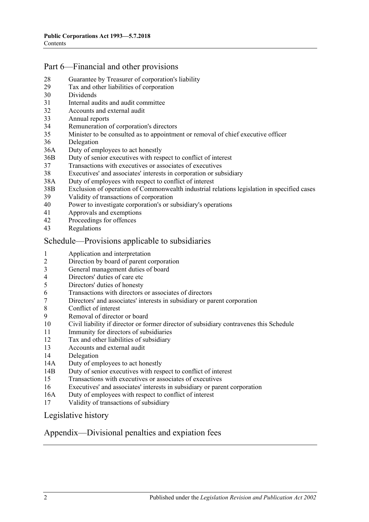### [Part 6—Financial and other provisions](#page-15-2)

- [Guarantee by Treasurer of corporation's liability](#page-15-3)
- [Tax and other liabilities of corporation](#page-15-4)
- [Dividends](#page-16-0)
- [Internal audits and audit committee](#page-16-1)
- [Accounts and external audit](#page-17-0)
- [Annual reports](#page-17-1)
- [Remuneration of corporation's directors](#page-18-0)
- [Minister to be consulted as to appointment or removal of chief executive officer](#page-18-1)
- [Delegation](#page-18-2)
- 36A [Duty of employees to act honestly](#page-19-0)
- 36B [Duty of senior executives with respect to conflict of interest](#page-19-1)
- [Transactions with executives or associates of executives](#page-21-0)
- [Executives' and associates' interests in corporation or subsidiary](#page-22-0)
- 38A [Duty of employees with respect to conflict of interest](#page-23-0)
- 38B [Exclusion of operation of Commonwealth industrial relations legislation in specified cases](#page-24-0)
- [Validity of transactions of corporation](#page-24-1)
- [Power to investigate corporation's or subsidiary's operations](#page-25-0)
- [Approvals and exemptions](#page-27-0)<br>42 Proceedings for offences
- [Proceedings for offences](#page-27-1)
- [Regulations](#page-27-2)

#### [Schedule—Provisions applicable to subsidiaries](#page-27-3)

- [Application and interpretation](#page-27-4)
- [Direction by board of parent corporation](#page-27-5)
- [General management duties of board](#page-28-0)
- [Directors' duties of care etc](#page-28-1)<br>5 Directors' duties of honesty
- [Directors' duties of honesty](#page-29-0)
- [Transactions with directors or associates of directors](#page-29-1)
- [Directors' and associates' interests in subsidiary or parent corporation](#page-30-0)
- [Conflict of interest](#page-31-0)<br>9 Removal of directo
- [Removal of director or board](#page-32-0)
- [Civil liability if director or former director of subsidiary contravenes this Schedule](#page-32-1)
- [Immunity for directors of subsidiaries](#page-32-2)
- [Tax and other liabilities of subsidiary](#page-33-0)
- [Accounts and external audit](#page-33-1)
- [Delegation](#page-33-2)
- 14A [Duty of employees to act honestly](#page-34-0)
- 14B [Duty of senior executives with respect to conflict of interest](#page-35-0)
- [Transactions with executives or associates of executives](#page-37-0)
- [Executives' and associates' interests in subsidiary or parent corporation](#page-38-0)
- 16A [Duty of employees with respect to conflict of interest](#page-39-0)
- [Validity of transactions of subsidiary](#page-40-0)

[Legislative history](#page-41-0)

#### [Appendix—Divisional penalties and expiation fees](#page-43-0)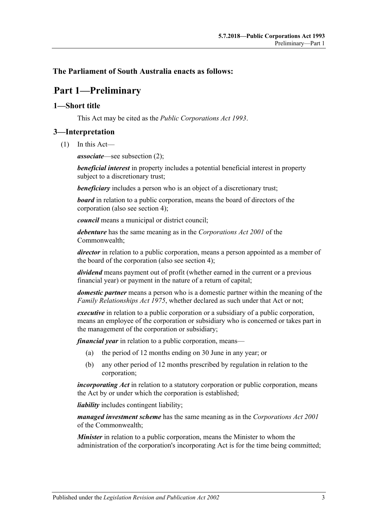#### <span id="page-2-0"></span>**The Parliament of South Australia enacts as follows:**

## 67B**Part 1—Preliminary**

#### <span id="page-2-1"></span>0B**1—Short title**

This Act may be cited as the *Public Corporations Act 1993*.

#### <span id="page-2-2"></span>1B**3—Interpretation**

(1) In this Act—

*associate*—see [subsection](#page-3-0) (2);

*beneficial interest* in property includes a potential beneficial interest in property subject to a discretionary trust;

*beneficiary* includes a person who is an object of a discretionary trust;

*board* in relation to a public corporation, means the board of directors of the corporation (also see [section](#page-4-0) 4);

*council* means a municipal or district council;

*debenture* has the same meaning as in the *Corporations Act 2001* of the Commonwealth;

*director* in relation to a public corporation, means a person appointed as a member of the board of the corporation (also see [section](#page-4-0) 4);

*dividend* means payment out of profit (whether earned in the current or a previous financial year) or payment in the nature of a return of capital;

*domestic partner* means a person who is a domestic partner within the meaning of the *[Family Relationships Act](http://www.legislation.sa.gov.au/index.aspx?action=legref&type=act&legtitle=Family%20Relationships%20Act%201975) 1975*, whether declared as such under that Act or not;

*executive* in relation to a public corporation or a subsidiary of a public corporation, means an employee of the corporation or subsidiary who is concerned or takes part in the management of the corporation or subsidiary;

*financial year* in relation to a public corporation, means—

- (a) the period of 12 months ending on 30 June in any year; or
- (b) any other period of 12 months prescribed by regulation in relation to the corporation;

*incorporating Act* in relation to a statutory corporation or public corporation, means the Act by or under which the corporation is established;

*liability* includes contingent liability;

*managed investment scheme* has the same meaning as in the *Corporations Act 2001* of the Commonwealth;

*Minister* in relation to a public corporation, means the Minister to whom the administration of the corporation's incorporating Act is for the time being committed;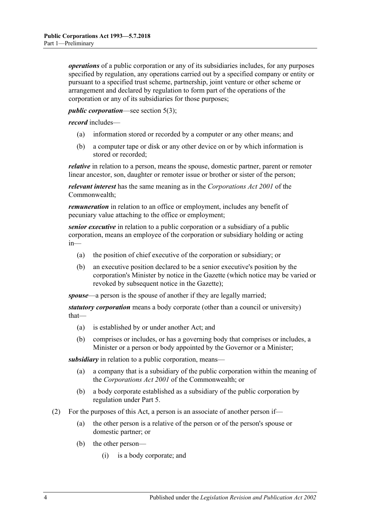*operations* of a public corporation or any of its subsidiaries includes, for any purposes specified by regulation, any operations carried out by a specified company or entity or pursuant to a specified trust scheme, partnership, joint venture or other scheme or arrangement and declared by regulation to form part of the operations of the corporation or any of its subsidiaries for those purposes;

#### *public corporation*—see [section](#page-4-2) 5(3);

*record* includes—

- (a) information stored or recorded by a computer or any other means; and
- (b) a computer tape or disk or any other device on or by which information is stored or recorded;

*relative* in relation to a person, means the spouse, domestic partner, parent or remoter linear ancestor, son, daughter or remoter issue or brother or sister of the person;

*relevant interest* has the same meaning as in the *Corporations Act 2001* of the Commonwealth;

*remuneration* in relation to an office or employment, includes any benefit of pecuniary value attaching to the office or employment;

*senior executive* in relation to a public corporation or a subsidiary of a public corporation, means an employee of the corporation or subsidiary holding or acting in—

- (a) the position of chief executive of the corporation or subsidiary; or
- (b) an executive position declared to be a senior executive's position by the corporation's Minister by notice in the Gazette (which notice may be varied or revoked by subsequent notice in the Gazette);

*spouse*—a person is the spouse of another if they are legally married;

*statutory corporation* means a body corporate (other than a council or university) that—

- (a) is established by or under another Act; and
- (b) comprises or includes, or has a governing body that comprises or includes, a Minister or a person or body appointed by the Governor or a Minister;

*subsidiary* in relation to a public corporation, means—

- (a) a company that is a subsidiary of the public corporation within the meaning of the *Corporations Act 2001* of the Commonwealth; or
- (b) a body corporate established as a subsidiary of the public corporation by regulation under [Part 5.](#page-13-3)
- <span id="page-3-1"></span><span id="page-3-0"></span>(2) For the purposes of this Act, a person is an associate of another person if—
	- (a) the other person is a relative of the person or of the person's spouse or domestic partner; or
	- (b) the other person—
		- (i) is a body corporate; and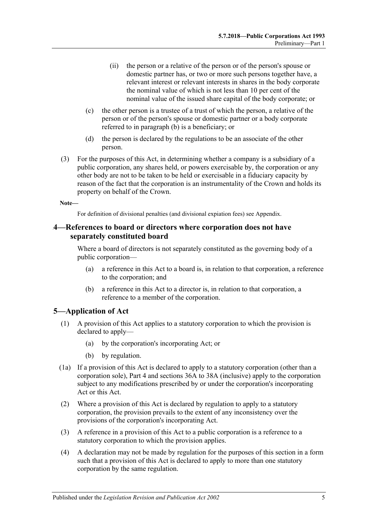- (ii) the person or a relative of the person or of the person's spouse or domestic partner has, or two or more such persons together have, a relevant interest or relevant interests in shares in the body corporate the nominal value of which is not less than 10 per cent of the nominal value of the issued share capital of the body corporate; or
- (c) the other person is a trustee of a trust of which the person, a relative of the person or of the person's spouse or domestic partner or a body corporate referred to in [paragraph](#page-3-1) (b) is a beneficiary; or
- (d) the person is declared by the regulations to be an associate of the other person.
- (3) For the purposes of this Act, in determining whether a company is a subsidiary of a public corporation, any shares held, or powers exercisable by, the corporation or any other body are not to be taken to be held or exercisable in a fiduciary capacity by reason of the fact that the corporation is an instrumentality of the Crown and holds its property on behalf of the Crown.

#### **Note—**

For definition of divisional penalties (and divisional expiation fees) see Appendix.

#### <span id="page-4-0"></span>2B**4—References to board or directors where corporation does not have separately constituted board**

Where a board of directors is not separately constituted as the governing body of a public corporation—

- (a) a reference in this Act to a board is, in relation to that corporation, a reference to the corporation; and
- (b) a reference in this Act to a director is, in relation to that corporation, a reference to a member of the corporation.

#### <span id="page-4-1"></span>5-Application of Act

- (1) A provision of this Act applies to a statutory corporation to which the provision is declared to apply—
	- (a) by the corporation's incorporating Act; or
	- (b) by regulation.
- (1a) If a provision of this Act is declared to apply to a statutory corporation (other than a corporation sole), [Part 4](#page-8-1) and [sections](#page-19-0) 36A to [38A](#page-23-0) (inclusive) apply to the corporation subject to any modifications prescribed by or under the corporation's incorporating Act or this Act.
- (2) Where a provision of this Act is declared by regulation to apply to a statutory corporation, the provision prevails to the extent of any inconsistency over the provisions of the corporation's incorporating Act.
- <span id="page-4-2"></span>(3) A reference in a provision of this Act to a public corporation is a reference to a statutory corporation to which the provision applies.
- (4) A declaration may not be made by regulation for the purposes of this section in a form such that a provision of this Act is declared to apply to more than one statutory corporation by the same regulation.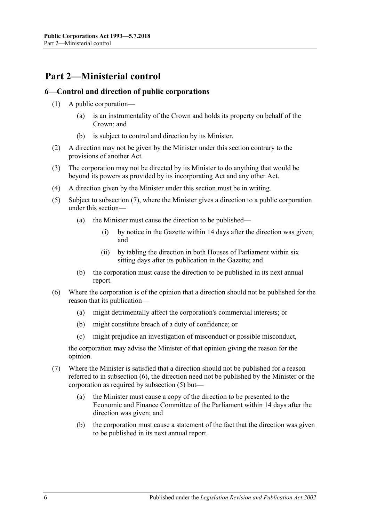# <span id="page-5-0"></span>68B**Part 2—Ministerial control**

#### <span id="page-5-1"></span>4B**6—Control and direction of public corporations**

- (1) A public corporation—
	- (a) is an instrumentality of the Crown and holds its property on behalf of the Crown; and
	- (b) is subject to control and direction by its Minister.
- (2) A direction may not be given by the Minister under this section contrary to the provisions of another Act.
- (3) The corporation may not be directed by its Minister to do anything that would be beyond its powers as provided by its incorporating Act and any other Act.
- (4) A direction given by the Minister under this section must be in writing.
- <span id="page-5-4"></span>(5) Subject to [subsection](#page-5-2) (7), where the Minister gives a direction to a public corporation under this section—
	- (a) the Minister must cause the direction to be published—
		- (i) by notice in the Gazette within 14 days after the direction was given; and
		- (ii) by tabling the direction in both Houses of Parliament within six sitting days after its publication in the Gazette; and
	- (b) the corporation must cause the direction to be published in its next annual report.
- <span id="page-5-3"></span>(6) Where the corporation is of the opinion that a direction should not be published for the reason that its publication—
	- (a) might detrimentally affect the corporation's commercial interests; or
	- (b) might constitute breach of a duty of confidence; or
	- (c) might prejudice an investigation of misconduct or possible misconduct,

the corporation may advise the Minister of that opinion giving the reason for the opinion.

- <span id="page-5-2"></span>(7) Where the Minister is satisfied that a direction should not be published for a reason referred to in [subsection](#page-5-3) (6), the direction need not be published by the Minister or the corporation as required by [subsection](#page-5-4) (5) but—
	- (a) the Minister must cause a copy of the direction to be presented to the Economic and Finance Committee of the Parliament within 14 days after the direction was given; and
	- (b) the corporation must cause a statement of the fact that the direction was given to be published in its next annual report.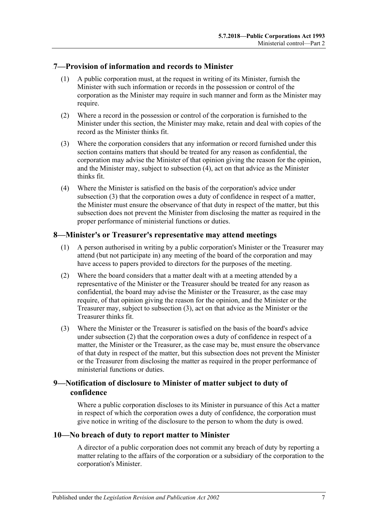#### <span id="page-6-0"></span>5B**7—Provision of information and records to Minister**

- (1) A public corporation must, at the request in writing of its Minister, furnish the Minister with such information or records in the possession or control of the corporation as the Minister may require in such manner and form as the Minister may require.
- (2) Where a record in the possession or control of the corporation is furnished to the Minister under this section, the Minister may make, retain and deal with copies of the record as the Minister thinks fit.
- <span id="page-6-5"></span>(3) Where the corporation considers that any information or record furnished under this section contains matters that should be treated for any reason as confidential, the corporation may advise the Minister of that opinion giving the reason for the opinion, and the Minister may, subject to [subsection](#page-6-4) (4), act on that advice as the Minister thinks fit.
- <span id="page-6-4"></span>(4) Where the Minister is satisfied on the basis of the corporation's advice under [subsection](#page-6-5) (3) that the corporation owes a duty of confidence in respect of a matter, the Minister must ensure the observance of that duty in respect of the matter, but this subsection does not prevent the Minister from disclosing the matter as required in the proper performance of ministerial functions or duties.

#### <span id="page-6-1"></span>6B**8—Minister's or Treasurer's representative may attend meetings**

- (1) A person authorised in writing by a public corporation's Minister or the Treasurer may attend (but not participate in) any meeting of the board of the corporation and may have access to papers provided to directors for the purposes of the meeting.
- <span id="page-6-7"></span>(2) Where the board considers that a matter dealt with at a meeting attended by a representative of the Minister or the Treasurer should be treated for any reason as confidential, the board may advise the Minister or the Treasurer, as the case may require, of that opinion giving the reason for the opinion, and the Minister or the Treasurer may, subject to [subsection](#page-6-6) (3), act on that advice as the Minister or the Treasurer thinks fit.
- <span id="page-6-6"></span>(3) Where the Minister or the Treasurer is satisfied on the basis of the board's advice under [subsection](#page-6-7) (2) that the corporation owes a duty of confidence in respect of a matter, the Minister or the Treasurer, as the case may be, must ensure the observance of that duty in respect of the matter, but this subsection does not prevent the Minister or the Treasurer from disclosing the matter as required in the proper performance of ministerial functions or duties.

### <span id="page-6-2"></span>9—Notification of disclosure to Minister of matter subject to duty of **confidence**

Where a public corporation discloses to its Minister in pursuance of this Act a matter in respect of which the corporation owes a duty of confidence, the corporation must give notice in writing of the disclosure to the person to whom the duty is owed.

#### <span id="page-6-3"></span>8B**10—No breach of duty to report matter to Minister**

A director of a public corporation does not commit any breach of duty by reporting a matter relating to the affairs of the corporation or a subsidiary of the corporation to the corporation's Minister.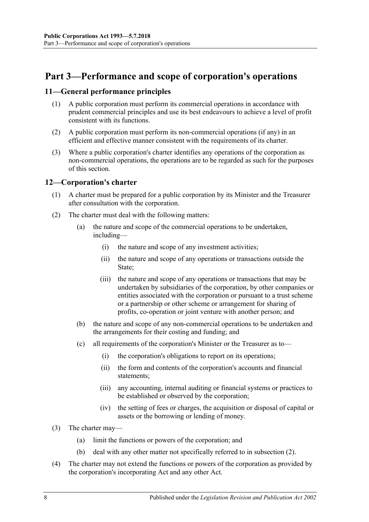# <span id="page-7-0"></span>69B**Part 3—Performance and scope of corporation's operations**

#### <span id="page-7-1"></span>9B**11—General performance principles**

- (1) A public corporation must perform its commercial operations in accordance with prudent commercial principles and use its best endeavours to achieve a level of profit consistent with its functions.
- (2) A public corporation must perform its non-commercial operations (if any) in an efficient and effective manner consistent with the requirements of its charter.
- (3) Where a public corporation's charter identifies any operations of the corporation as non-commercial operations, the operations are to be regarded as such for the purposes of this section.

#### <span id="page-7-2"></span>10B**12—Corporation's charter**

- (1) A charter must be prepared for a public corporation by its Minister and the Treasurer after consultation with the corporation.
- <span id="page-7-3"></span>(2) The charter must deal with the following matters:
	- (a) the nature and scope of the commercial operations to be undertaken, including—
		- (i) the nature and scope of any investment activities;
		- (ii) the nature and scope of any operations or transactions outside the State;
		- (iii) the nature and scope of any operations or transactions that may be undertaken by subsidiaries of the corporation, by other companies or entities associated with the corporation or pursuant to a trust scheme or a partnership or other scheme or arrangement for sharing of profits, co-operation or joint venture with another person; and
	- (b) the nature and scope of any non-commercial operations to be undertaken and the arrangements for their costing and funding; and
	- (c) all requirements of the corporation's Minister or the Treasurer as to—
		- (i) the corporation's obligations to report on its operations;
		- (ii) the form and contents of the corporation's accounts and financial statements;
		- (iii) any accounting, internal auditing or financial systems or practices to be established or observed by the corporation;
		- (iv) the setting of fees or charges, the acquisition or disposal of capital or assets or the borrowing or lending of money.
- (3) The charter may—
	- (a) limit the functions or powers of the corporation; and
	- (b) deal with any other matter not specifically referred to in [subsection](#page-7-3) (2).
- (4) The charter may not extend the functions or powers of the corporation as provided by the corporation's incorporating Act and any other Act.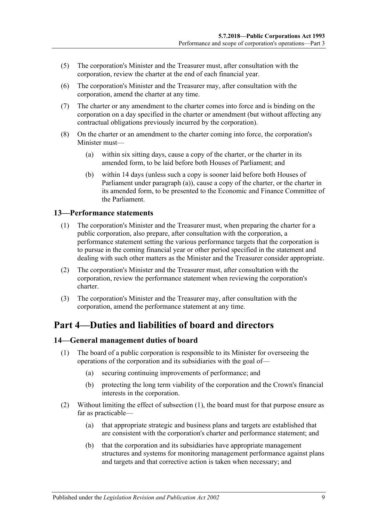- (5) The corporation's Minister and the Treasurer must, after consultation with the corporation, review the charter at the end of each financial year.
- (6) The corporation's Minister and the Treasurer may, after consultation with the corporation, amend the charter at any time.
- (7) The charter or any amendment to the charter comes into force and is binding on the corporation on a day specified in the charter or amendment (but without affecting any contractual obligations previously incurred by the corporation).
- <span id="page-8-3"></span>(8) On the charter or an amendment to the charter coming into force, the corporation's Minister must—
	- (a) within six sitting days, cause a copy of the charter, or the charter in its amended form, to be laid before both Houses of Parliament; and
	- (b) within 14 days (unless such a copy is sooner laid before both Houses of Parliament under [paragraph](#page-8-3) (a)), cause a copy of the charter, or the charter in its amended form, to be presented to the Economic and Finance Committee of the Parliament.

#### <span id="page-8-0"></span>11B**13—Performance statements**

- (1) The corporation's Minister and the Treasurer must, when preparing the charter for a public corporation, also prepare, after consultation with the corporation, a performance statement setting the various performance targets that the corporation is to pursue in the coming financial year or other period specified in the statement and dealing with such other matters as the Minister and the Treasurer consider appropriate.
- (2) The corporation's Minister and the Treasurer must, after consultation with the corporation, review the performance statement when reviewing the corporation's charter.
- (3) The corporation's Minister and the Treasurer may, after consultation with the corporation, amend the performance statement at any time.

# <span id="page-8-1"></span>Part 4—Duties and liabilities of board and directors

#### <span id="page-8-4"></span><span id="page-8-2"></span>12B**14—General management duties of board**

- (1) The board of a public corporation is responsible to its Minister for overseeing the operations of the corporation and its subsidiaries with the goal of—
	- (a) securing continuing improvements of performance; and
	- (b) protecting the long term viability of the corporation and the Crown's financial interests in the corporation.
- (2) Without limiting the effect of [subsection](#page-8-4) (1), the board must for that purpose ensure as far as practicable—
	- (a) that appropriate strategic and business plans and targets are established that are consistent with the corporation's charter and performance statement; and
	- (b) that the corporation and its subsidiaries have appropriate management structures and systems for monitoring management performance against plans and targets and that corrective action is taken when necessary; and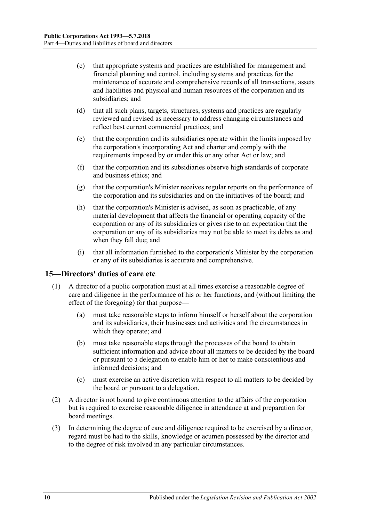- (c) that appropriate systems and practices are established for management and financial planning and control, including systems and practices for the maintenance of accurate and comprehensive records of all transactions, assets and liabilities and physical and human resources of the corporation and its subsidiaries; and
- (d) that all such plans, targets, structures, systems and practices are regularly reviewed and revised as necessary to address changing circumstances and reflect best current commercial practices; and
- (e) that the corporation and its subsidiaries operate within the limits imposed by the corporation's incorporating Act and charter and comply with the requirements imposed by or under this or any other Act or law; and
- (f) that the corporation and its subsidiaries observe high standards of corporate and business ethics; and
- (g) that the corporation's Minister receives regular reports on the performance of the corporation and its subsidiaries and on the initiatives of the board; and
- (h) that the corporation's Minister is advised, as soon as practicable, of any material development that affects the financial or operating capacity of the corporation or any of its subsidiaries or gives rise to an expectation that the corporation or any of its subsidiaries may not be able to meet its debts as and when they fall due; and
- (i) that all information furnished to the corporation's Minister by the corporation or any of its subsidiaries is accurate and comprehensive.

#### <span id="page-9-0"></span>13B**15—Directors' duties of care etc**

- (1) A director of a public corporation must at all times exercise a reasonable degree of care and diligence in the performance of his or her functions, and (without limiting the effect of the foregoing) for that purpose—
	- (a) must take reasonable steps to inform himself or herself about the corporation and its subsidiaries, their businesses and activities and the circumstances in which they operate; and
	- (b) must take reasonable steps through the processes of the board to obtain sufficient information and advice about all matters to be decided by the board or pursuant to a delegation to enable him or her to make conscientious and informed decisions; and
	- (c) must exercise an active discretion with respect to all matters to be decided by the board or pursuant to a delegation.
- (2) A director is not bound to give continuous attention to the affairs of the corporation but is required to exercise reasonable diligence in attendance at and preparation for board meetings.
- (3) In determining the degree of care and diligence required to be exercised by a director, regard must be had to the skills, knowledge or acumen possessed by the director and to the degree of risk involved in any particular circumstances.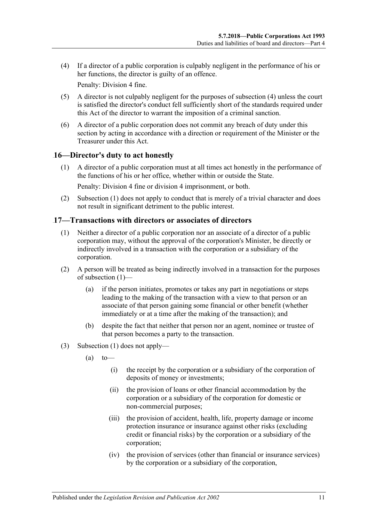<span id="page-10-2"></span>(4) If a director of a public corporation is culpably negligent in the performance of his or her functions, the director is guilty of an offence.

Penalty: Division 4 fine.

- (5) A director is not culpably negligent for the purposes of [subsection](#page-10-2) (4) unless the court is satisfied the director's conduct fell sufficiently short of the standards required under this Act of the director to warrant the imposition of a criminal sanction.
- (6) A director of a public corporation does not commit any breach of duty under this section by acting in accordance with a direction or requirement of the Minister or the Treasurer under this Act.

#### <span id="page-10-3"></span><span id="page-10-0"></span>14B**16—Director's duty to act honestly**

(1) A director of a public corporation must at all times act honestly in the performance of the functions of his or her office, whether within or outside the State.

Penalty: Division 4 fine or division 4 imprisonment, or both.

(2) [Subsection](#page-10-3) (1) does not apply to conduct that is merely of a trivial character and does not result in significant detriment to the public interest.

#### <span id="page-10-4"></span><span id="page-10-1"></span>15B**17—Transactions with directors or associates of directors**

- (1) Neither a director of a public corporation nor an associate of a director of a public corporation may, without the approval of the corporation's Minister, be directly or indirectly involved in a transaction with the corporation or a subsidiary of the corporation.
- (2) A person will be treated as being indirectly involved in a transaction for the purposes of [subsection](#page-10-4) (1)—
	- (a) if the person initiates, promotes or takes any part in negotiations or steps leading to the making of the transaction with a view to that person or an associate of that person gaining some financial or other benefit (whether immediately or at a time after the making of the transaction); and
	- (b) despite the fact that neither that person nor an agent, nominee or trustee of that person becomes a party to the transaction.
- (3) [Subsection](#page-10-4) (1) does not apply—
	- $(a)$  to
		- (i) the receipt by the corporation or a subsidiary of the corporation of deposits of money or investments;
		- (ii) the provision of loans or other financial accommodation by the corporation or a subsidiary of the corporation for domestic or non-commercial purposes;
		- (iii) the provision of accident, health, life, property damage or income protection insurance or insurance against other risks (excluding credit or financial risks) by the corporation or a subsidiary of the corporation;
		- (iv) the provision of services (other than financial or insurance services) by the corporation or a subsidiary of the corporation,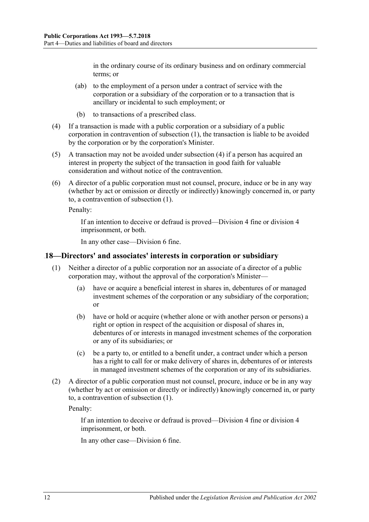in the ordinary course of its ordinary business and on ordinary commercial terms; or

- (ab) to the employment of a person under a contract of service with the corporation or a subsidiary of the corporation or to a transaction that is ancillary or incidental to such employment; or
- (b) to transactions of a prescribed class.
- <span id="page-11-1"></span>(4) If a transaction is made with a public corporation or a subsidiary of a public corporation in contravention of [subsection](#page-10-4) (1), the transaction is liable to be avoided by the corporation or by the corporation's Minister.
- (5) A transaction may not be avoided under [subsection](#page-11-1) (4) if a person has acquired an interest in property the subject of the transaction in good faith for valuable consideration and without notice of the contravention.
- (6) A director of a public corporation must not counsel, procure, induce or be in any way (whether by act or omission or directly or indirectly) knowingly concerned in, or party to, a contravention of [subsection](#page-10-4) (1).

Penalty:

If an intention to deceive or defraud is proved—Division 4 fine or division 4 imprisonment, or both.

In any other case—Division 6 fine.

#### <span id="page-11-2"></span><span id="page-11-0"></span>16B**18—Directors' and associates' interests in corporation or subsidiary**

- (1) Neither a director of a public corporation nor an associate of a director of a public corporation may, without the approval of the corporation's Minister—
	- (a) have or acquire a beneficial interest in shares in, debentures of or managed investment schemes of the corporation or any subsidiary of the corporation; or
	- (b) have or hold or acquire (whether alone or with another person or persons) a right or option in respect of the acquisition or disposal of shares in, debentures of or interests in managed investment schemes of the corporation or any of its subsidiaries; or
	- (c) be a party to, or entitled to a benefit under, a contract under which a person has a right to call for or make delivery of shares in, debentures of or interests in managed investment schemes of the corporation or any of its subsidiaries.
- (2) A director of a public corporation must not counsel, procure, induce or be in any way (whether by act or omission or directly or indirectly) knowingly concerned in, or party to, a contravention of [subsection](#page-11-2) (1).

Penalty:

If an intention to deceive or defraud is proved—Division 4 fine or division 4 imprisonment, or both.

In any other case—Division 6 fine.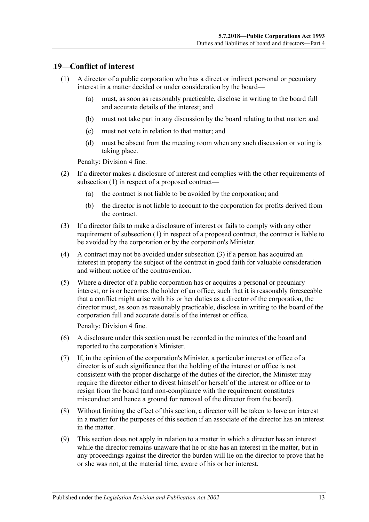#### <span id="page-12-1"></span><span id="page-12-0"></span>19<sup>*19***</del>***Conflict of interest***</sup>**

- (1) A director of a public corporation who has a direct or indirect personal or pecuniary interest in a matter decided or under consideration by the board—
	- (a) must, as soon as reasonably practicable, disclose in writing to the board full and accurate details of the interest; and
	- (b) must not take part in any discussion by the board relating to that matter; and
	- (c) must not vote in relation to that matter; and
	- (d) must be absent from the meeting room when any such discussion or voting is taking place.

Penalty: Division 4 fine.

- (2) If a director makes a disclosure of interest and complies with the other requirements of [subsection](#page-12-1) (1) in respect of a proposed contract—
	- (a) the contract is not liable to be avoided by the corporation; and
	- (b) the director is not liable to account to the corporation for profits derived from the contract.
- <span id="page-12-2"></span>(3) If a director fails to make a disclosure of interest or fails to comply with any other requirement of [subsection](#page-12-1) (1) in respect of a proposed contract, the contract is liable to be avoided by the corporation or by the corporation's Minister.
- (4) A contract may not be avoided under [subsection](#page-12-2) (3) if a person has acquired an interest in property the subject of the contract in good faith for valuable consideration and without notice of the contravention.
- (5) Where a director of a public corporation has or acquires a personal or pecuniary interest, or is or becomes the holder of an office, such that it is reasonably foreseeable that a conflict might arise with his or her duties as a director of the corporation, the director must, as soon as reasonably practicable, disclose in writing to the board of the corporation full and accurate details of the interest or office.

Penalty: Division 4 fine.

- (6) A disclosure under this section must be recorded in the minutes of the board and reported to the corporation's Minister.
- (7) If, in the opinion of the corporation's Minister, a particular interest or office of a director is of such significance that the holding of the interest or office is not consistent with the proper discharge of the duties of the director, the Minister may require the director either to divest himself or herself of the interest or office or to resign from the board (and non-compliance with the requirement constitutes misconduct and hence a ground for removal of the director from the board).
- (8) Without limiting the effect of this section, a director will be taken to have an interest in a matter for the purposes of this section if an associate of the director has an interest in the matter.
- (9) This section does not apply in relation to a matter in which a director has an interest while the director remains unaware that he or she has an interest in the matter, but in any proceedings against the director the burden will lie on the director to prove that he or she was not, at the material time, aware of his or her interest.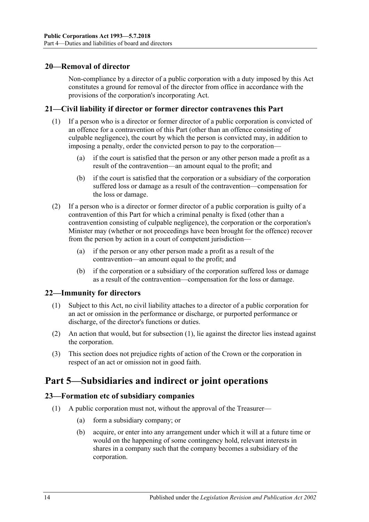#### <span id="page-13-0"></span>20**-Removal of director**

Non-compliance by a director of a public corporation with a duty imposed by this Act constitutes a ground for removal of the director from office in accordance with the provisions of the corporation's incorporating Act.

#### <span id="page-13-1"></span>19B**21—Civil liability if director or former director contravenes this Part**

- (1) If a person who is a director or former director of a public corporation is convicted of an offence for a contravention of this Part (other than an offence consisting of culpable negligence), the court by which the person is convicted may, in addition to imposing a penalty, order the convicted person to pay to the corporation—
	- (a) if the court is satisfied that the person or any other person made a profit as a result of the contravention—an amount equal to the profit; and
	- (b) if the court is satisfied that the corporation or a subsidiary of the corporation suffered loss or damage as a result of the contravention—compensation for the loss or damage.
- (2) If a person who is a director or former director of a public corporation is guilty of a contravention of this Part for which a criminal penalty is fixed (other than a contravention consisting of culpable negligence), the corporation or the corporation's Minister may (whether or not proceedings have been brought for the offence) recover from the person by action in a court of competent jurisdiction—
	- (a) if the person or any other person made a profit as a result of the contravention—an amount equal to the profit; and
	- (b) if the corporation or a subsidiary of the corporation suffered loss or damage as a result of the contravention—compensation for the loss or damage.

#### <span id="page-13-5"></span><span id="page-13-2"></span>22—Immunity for directors

- (1) Subject to this Act, no civil liability attaches to a director of a public corporation for an act or omission in the performance or discharge, or purported performance or discharge, of the director's functions or duties.
- (2) An action that would, but for [subsection](#page-13-5) (1), lie against the director lies instead against the corporation.
- (3) This section does not prejudice rights of action of the Crown or the corporation in respect of an act or omission not in good faith.

# <span id="page-13-3"></span>**Part 5—Subsidiaries and indirect or joint operations**

#### <span id="page-13-4"></span>21B**23—Formation etc of subsidiary companies**

- (1) A public corporation must not, without the approval of the Treasurer—
	- (a) form a subsidiary company; or
	- (b) acquire, or enter into any arrangement under which it will at a future time or would on the happening of some contingency hold, relevant interests in shares in a company such that the company becomes a subsidiary of the corporation.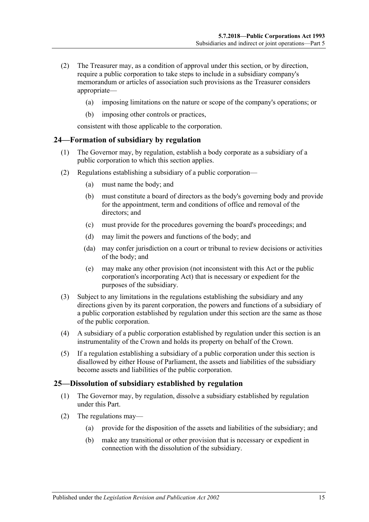- (2) The Treasurer may, as a condition of approval under this section, or by direction, require a public corporation to take steps to include in a subsidiary company's memorandum or articles of association such provisions as the Treasurer considers appropriate—
	- (a) imposing limitations on the nature or scope of the company's operations; or
	- (b) imposing other controls or practices,

consistent with those applicable to the corporation.

#### <span id="page-14-0"></span>22B**24—Formation of subsidiary by regulation**

- (1) The Governor may, by regulation, establish a body corporate as a subsidiary of a public corporation to which this section applies.
- (2) Regulations establishing a subsidiary of a public corporation—
	- (a) must name the body; and
	- (b) must constitute a board of directors as the body's governing body and provide for the appointment, term and conditions of office and removal of the directors; and
	- (c) must provide for the procedures governing the board's proceedings; and
	- (d) may limit the powers and functions of the body; and
	- (da) may confer jurisdiction on a court or tribunal to review decisions or activities of the body; and
	- (e) may make any other provision (not inconsistent with this Act or the public corporation's incorporating Act) that is necessary or expedient for the purposes of the subsidiary.
- (3) Subject to any limitations in the regulations establishing the subsidiary and any directions given by its parent corporation, the powers and functions of a subsidiary of a public corporation established by regulation under this section are the same as those of the public corporation.
- (4) A subsidiary of a public corporation established by regulation under this section is an instrumentality of the Crown and holds its property on behalf of the Crown.
- (5) If a regulation establishing a subsidiary of a public corporation under this section is disallowed by either House of Parliament, the assets and liabilities of the subsidiary become assets and liabilities of the public corporation.

#### <span id="page-14-1"></span>23B**25—Dissolution of subsidiary established by regulation**

- (1) The Governor may, by regulation, dissolve a subsidiary established by regulation under this Part.
- <span id="page-14-2"></span>(2) The regulations may—
	- (a) provide for the disposition of the assets and liabilities of the subsidiary; and
	- (b) make any transitional or other provision that is necessary or expedient in connection with the dissolution of the subsidiary.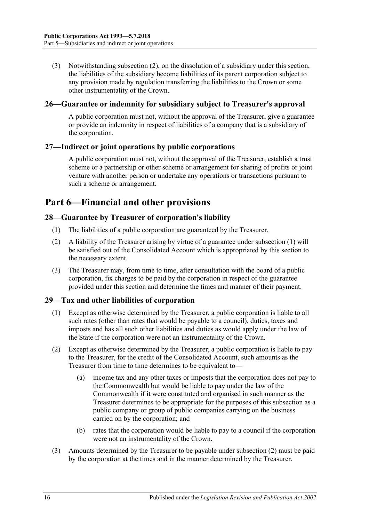(3) Notwithstanding [subsection](#page-14-2) (2), on the dissolution of a subsidiary under this section, the liabilities of the subsidiary become liabilities of its parent corporation subject to any provision made by regulation transferring the liabilities to the Crown or some other instrumentality of the Crown.

#### <span id="page-15-0"></span>24B**26—Guarantee or indemnity for subsidiary subject to Treasurer's approval**

A public corporation must not, without the approval of the Treasurer, give a guarantee or provide an indemnity in respect of liabilities of a company that is a subsidiary of the corporation.

#### <span id="page-15-1"></span>25B**27—Indirect or joint operations by public corporations**

A public corporation must not, without the approval of the Treasurer, establish a trust scheme or a partnership or other scheme or arrangement for sharing of profits or joint venture with another person or undertake any operations or transactions pursuant to such a scheme or arrangement.

# <span id="page-15-2"></span>Part 6—Financial and other provisions

#### <span id="page-15-5"></span><span id="page-15-3"></span>28—Guarantee by Treasurer of corporation's liability

- (1) The liabilities of a public corporation are guaranteed by the Treasurer.
- (2) A liability of the Treasurer arising by virtue of a guarantee under [subsection](#page-15-5) (1) will be satisfied out of the Consolidated Account which is appropriated by this section to the necessary extent.
- (3) The Treasurer may, from time to time, after consultation with the board of a public corporation, fix charges to be paid by the corporation in respect of the guarantee provided under this section and determine the times and manner of their payment.

### <span id="page-15-4"></span>27B**29—Tax and other liabilities of corporation**

- (1) Except as otherwise determined by the Treasurer, a public corporation is liable to all such rates (other than rates that would be payable to a council), duties, taxes and imposts and has all such other liabilities and duties as would apply under the law of the State if the corporation were not an instrumentality of the Crown.
- <span id="page-15-6"></span>(2) Except as otherwise determined by the Treasurer, a public corporation is liable to pay to the Treasurer, for the credit of the Consolidated Account, such amounts as the Treasurer from time to time determines to be equivalent to—
	- (a) income tax and any other taxes or imposts that the corporation does not pay to the Commonwealth but would be liable to pay under the law of the Commonwealth if it were constituted and organised in such manner as the Treasurer determines to be appropriate for the purposes of this subsection as a public company or group of public companies carrying on the business carried on by the corporation; and
	- (b) rates that the corporation would be liable to pay to a council if the corporation were not an instrumentality of the Crown.
- (3) Amounts determined by the Treasurer to be payable under [subsection](#page-15-6) (2) must be paid by the corporation at the times and in the manner determined by the Treasurer.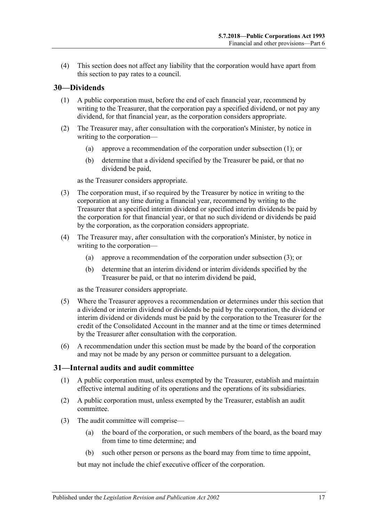(4) This section does not affect any liability that the corporation would have apart from this section to pay rates to a council.

#### <span id="page-16-2"></span><span id="page-16-0"></span>28B**30—Dividends**

- (1) A public corporation must, before the end of each financial year, recommend by writing to the Treasurer, that the corporation pay a specified dividend, or not pay any dividend, for that financial year, as the corporation considers appropriate.
- (2) The Treasurer may, after consultation with the corporation's Minister, by notice in writing to the corporation—
	- (a) approve a recommendation of the corporation under [subsection](#page-16-2) (1); or
	- (b) determine that a dividend specified by the Treasurer be paid, or that no dividend be paid,

as the Treasurer considers appropriate.

- <span id="page-16-3"></span>(3) The corporation must, if so required by the Treasurer by notice in writing to the corporation at any time during a financial year, recommend by writing to the Treasurer that a specified interim dividend or specified interim dividends be paid by the corporation for that financial year, or that no such dividend or dividends be paid by the corporation, as the corporation considers appropriate.
- (4) The Treasurer may, after consultation with the corporation's Minister, by notice in writing to the corporation—
	- (a) approve a recommendation of the corporation under [subsection](#page-16-3) (3); or
	- (b) determine that an interim dividend or interim dividends specified by the Treasurer be paid, or that no interim dividend be paid,

as the Treasurer considers appropriate.

- (5) Where the Treasurer approves a recommendation or determines under this section that a dividend or interim dividend or dividends be paid by the corporation, the dividend or interim dividend or dividends must be paid by the corporation to the Treasurer for the credit of the Consolidated Account in the manner and at the time or times determined by the Treasurer after consultation with the corporation.
- (6) A recommendation under this section must be made by the board of the corporation and may not be made by any person or committee pursuant to a delegation.

#### <span id="page-16-1"></span>29B**31—Internal audits and audit committee**

- (1) A public corporation must, unless exempted by the Treasurer, establish and maintain effective internal auditing of its operations and the operations of its subsidiaries.
- (2) A public corporation must, unless exempted by the Treasurer, establish an audit committee.
- (3) The audit committee will comprise—
	- (a) the board of the corporation, or such members of the board, as the board may from time to time determine; and
	- (b) such other person or persons as the board may from time to time appoint,

but may not include the chief executive officer of the corporation.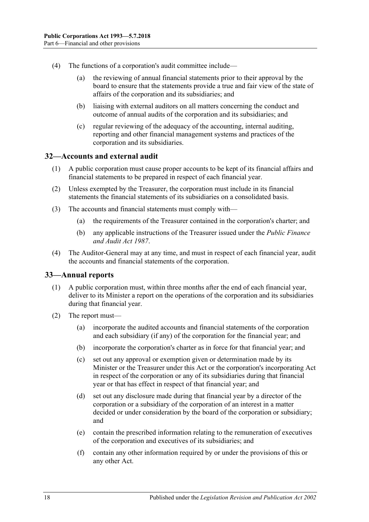- (4) The functions of a corporation's audit committee include—
	- (a) the reviewing of annual financial statements prior to their approval by the board to ensure that the statements provide a true and fair view of the state of affairs of the corporation and its subsidiaries; and
	- (b) liaising with external auditors on all matters concerning the conduct and outcome of annual audits of the corporation and its subsidiaries; and
	- (c) regular reviewing of the adequacy of the accounting, internal auditing, reporting and other financial management systems and practices of the corporation and its subsidiaries.

#### <span id="page-17-0"></span>30B**32—Accounts and external audit**

- (1) A public corporation must cause proper accounts to be kept of its financial affairs and financial statements to be prepared in respect of each financial year.
- (2) Unless exempted by the Treasurer, the corporation must include in its financial statements the financial statements of its subsidiaries on a consolidated basis.
- (3) The accounts and financial statements must comply with—
	- (a) the requirements of the Treasurer contained in the corporation's charter; and
	- (b) any applicable instructions of the Treasurer issued under the *[Public Finance](http://www.legislation.sa.gov.au/index.aspx?action=legref&type=act&legtitle=Public%20Finance%20and%20Audit%20Act%201987)  [and Audit Act](http://www.legislation.sa.gov.au/index.aspx?action=legref&type=act&legtitle=Public%20Finance%20and%20Audit%20Act%201987) 1987*.
- (4) The Auditor-General may at any time, and must in respect of each financial year, audit the accounts and financial statements of the corporation.

#### <span id="page-17-1"></span>31B**33—Annual reports**

- (1) A public corporation must, within three months after the end of each financial year, deliver to its Minister a report on the operations of the corporation and its subsidiaries during that financial year.
- (2) The report must—
	- (a) incorporate the audited accounts and financial statements of the corporation and each subsidiary (if any) of the corporation for the financial year; and
	- (b) incorporate the corporation's charter as in force for that financial year; and
	- (c) set out any approval or exemption given or determination made by its Minister or the Treasurer under this Act or the corporation's incorporating Act in respect of the corporation or any of its subsidiaries during that financial year or that has effect in respect of that financial year; and
	- (d) set out any disclosure made during that financial year by a director of the corporation or a subsidiary of the corporation of an interest in a matter decided or under consideration by the board of the corporation or subsidiary; and
	- (e) contain the prescribed information relating to the remuneration of executives of the corporation and executives of its subsidiaries; and
	- (f) contain any other information required by or under the provisions of this or any other Act.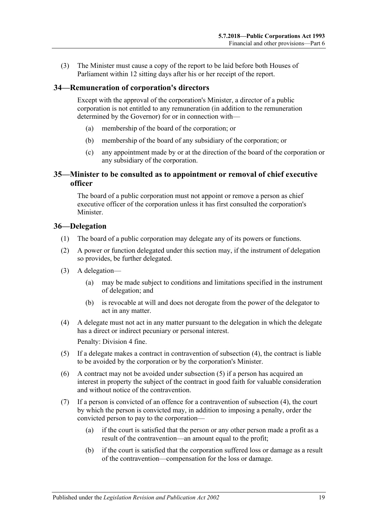(3) The Minister must cause a copy of the report to be laid before both Houses of Parliament within 12 sitting days after his or her receipt of the report.

#### <span id="page-18-0"></span>32B**34—Remuneration of corporation's directors**

Except with the approval of the corporation's Minister, a director of a public corporation is not entitled to any remuneration (in addition to the remuneration determined by the Governor) for or in connection with—

- (a) membership of the board of the corporation; or
- (b) membership of the board of any subsidiary of the corporation; or
- (c) any appointment made by or at the direction of the board of the corporation or any subsidiary of the corporation.

#### <span id="page-18-1"></span>33B**35—Minister to be consulted as to appointment or removal of chief executive officer**

The board of a public corporation must not appoint or remove a person as chief executive officer of the corporation unless it has first consulted the corporation's Minister.

#### <span id="page-18-2"></span>34B**36—Delegation**

- (1) The board of a public corporation may delegate any of its powers or functions.
- (2) A power or function delegated under this section may, if the instrument of delegation so provides, be further delegated.
- (3) A delegation—
	- (a) may be made subject to conditions and limitations specified in the instrument of delegation; and
	- (b) is revocable at will and does not derogate from the power of the delegator to act in any matter.
- <span id="page-18-3"></span>(4) A delegate must not act in any matter pursuant to the delegation in which the delegate has a direct or indirect pecuniary or personal interest.

Penalty: Division 4 fine.

- <span id="page-18-4"></span>(5) If a delegate makes a contract in contravention of [subsection](#page-18-3) (4), the contract is liable to be avoided by the corporation or by the corporation's Minister.
- (6) A contract may not be avoided under [subsection](#page-18-4) (5) if a person has acquired an interest in property the subject of the contract in good faith for valuable consideration and without notice of the contravention.
- (7) If a person is convicted of an offence for a contravention of [subsection](#page-18-3) (4), the court by which the person is convicted may, in addition to imposing a penalty, order the convicted person to pay to the corporation—
	- (a) if the court is satisfied that the person or any other person made a profit as a result of the contravention—an amount equal to the profit;
	- (b) if the court is satisfied that the corporation suffered loss or damage as a result of the contravention—compensation for the loss or damage.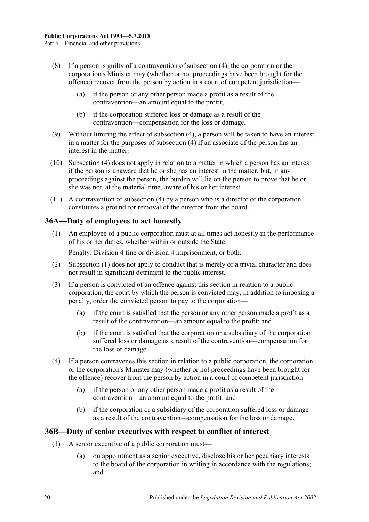- (8) If a person is guilty of a contravention of [subsection](#page-18-3) (4), the corporation or the corporation's Minister may (whether or not proceedings have been brought for the offence) recover from the person by action in a court of competent jurisdiction—
	- (a) if the person or any other person made a profit as a result of the contravention—an amount equal to the profit;
	- (b) if the corporation suffered loss or damage as a result of the contravention—compensation for the loss or damage.
- (9) Without limiting the effect of [subsection](#page-18-3) (4), a person will be taken to have an interest in a matter for the purposes of [subsection](#page-18-3) (4) if an associate of the person has an interest in the matter.
- (10) [Subsection](#page-18-3) (4) does not apply in relation to a matter in which a person has an interest if the person is unaware that he or she has an interest in the matter, but, in any proceedings against the person, the burden will lie on the person to prove that he or she was not, at the material time, aware of his or her interest.
- (11) A contravention of [subsection](#page-18-3) (4) by a person who is a director of the corporation constitutes a ground for removal of the director from the board.

#### <span id="page-19-2"></span><span id="page-19-0"></span>35B**36A—Duty of employees to act honestly**

(1) An employee of a public corporation must at all times act honestly in the performance of his or her duties, whether within or outside the State.

Penalty: Division 4 fine or division 4 imprisonment, or both.

- (2) [Subsection](#page-19-2) (1) does not apply to conduct that is merely of a trivial character and does not result in significant detriment to the public interest.
- (3) If a person is convicted of an offence against this section in relation to a public corporation, the court by which the person is convicted may, in addition to imposing a penalty, order the convicted person to pay to the corporation—
	- (a) if the court is satisfied that the person or any other person made a profit as a result of the contravention—an amount equal to the profit; and
	- (b) if the court is satisfied that the corporation or a subsidiary of the corporation suffered loss or damage as a result of the contravention—compensation for the loss or damage.
- (4) If a person contravenes this section in relation to a public corporation, the corporation or the corporation's Minister may (whether or not proceedings have been brought for the offence) recover from the person by action in a court of competent jurisdiction—
	- (a) if the person or any other person made a profit as a result of the contravention—an amount equal to the profit; and
	- (b) if the corporation or a subsidiary of the corporation suffered loss or damage as a result of the contravention—compensation for the loss or damage.

#### <span id="page-19-4"></span><span id="page-19-1"></span>36B**36B—Duty of senior executives with respect to conflict of interest**

- <span id="page-19-3"></span>(1) A senior executive of a public corporation must—
	- (a) on appointment as a senior executive, disclose his or her pecuniary interests to the board of the corporation in writing in accordance with the regulations; and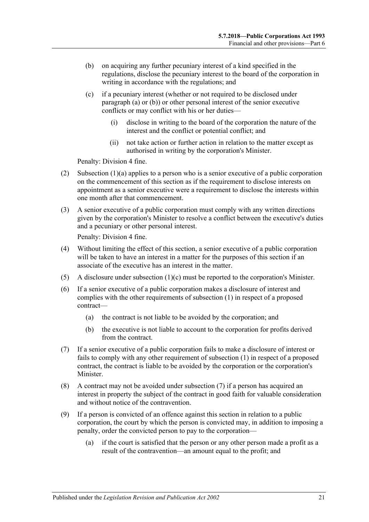- <span id="page-20-0"></span>(b) on acquiring any further pecuniary interest of a kind specified in the regulations, disclose the pecuniary interest to the board of the corporation in writing in accordance with the regulations; and
- <span id="page-20-1"></span>(c) if a pecuniary interest (whether or not required to be disclosed under [paragraph](#page-19-3) (a) or [\(b\)\)](#page-20-0) or other personal interest of the senior executive conflicts or may conflict with his or her duties—
	- (i) disclose in writing to the board of the corporation the nature of the interest and the conflict or potential conflict; and
	- (ii) not take action or further action in relation to the matter except as authorised in writing by the corporation's Minister.

Penalty: Division 4 fine.

- (2) [Subsection](#page-19-3)  $(1)(a)$  applies to a person who is a senior executive of a public corporation on the commencement of this section as if the requirement to disclose interests on appointment as a senior executive were a requirement to disclose the interests within one month after that commencement.
- (3) A senior executive of a public corporation must comply with any written directions given by the corporation's Minister to resolve a conflict between the executive's duties and a pecuniary or other personal interest.

Penalty: Division 4 fine.

- (4) Without limiting the effect of this section, a senior executive of a public corporation will be taken to have an interest in a matter for the purposes of this section if an associate of the executive has an interest in the matter.
- (5) A disclosure under [subsection](#page-20-1) (1)(c) must be reported to the corporation's Minister.
- (6) If a senior executive of a public corporation makes a disclosure of interest and complies with the other requirements of [subsection](#page-19-4) (1) in respect of a proposed contract—
	- (a) the contract is not liable to be avoided by the corporation; and
	- (b) the executive is not liable to account to the corporation for profits derived from the contract.
- <span id="page-20-2"></span>(7) If a senior executive of a public corporation fails to make a disclosure of interest or fails to comply with any other requirement of [subsection](#page-19-4) (1) in respect of a proposed contract, the contract is liable to be avoided by the corporation or the corporation's Minister.
- (8) A contract may not be avoided under [subsection](#page-20-2) (7) if a person has acquired an interest in property the subject of the contract in good faith for valuable consideration and without notice of the contravention.
- (9) If a person is convicted of an offence against this section in relation to a public corporation, the court by which the person is convicted may, in addition to imposing a penalty, order the convicted person to pay to the corporation—
	- (a) if the court is satisfied that the person or any other person made a profit as a result of the contravention—an amount equal to the profit; and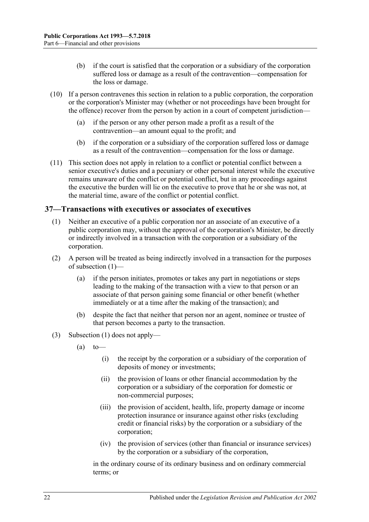- (b) if the court is satisfied that the corporation or a subsidiary of the corporation suffered loss or damage as a result of the contravention—compensation for the loss or damage.
- (10) If a person contravenes this section in relation to a public corporation, the corporation or the corporation's Minister may (whether or not proceedings have been brought for the offence) recover from the person by action in a court of competent jurisdiction—
	- (a) if the person or any other person made a profit as a result of the contravention—an amount equal to the profit; and
	- (b) if the corporation or a subsidiary of the corporation suffered loss or damage as a result of the contravention—compensation for the loss or damage.
- (11) This section does not apply in relation to a conflict or potential conflict between a senior executive's duties and a pecuniary or other personal interest while the executive remains unaware of the conflict or potential conflict, but in any proceedings against the executive the burden will lie on the executive to prove that he or she was not, at the material time, aware of the conflict or potential conflict.

#### <span id="page-21-1"></span><span id="page-21-0"></span>37B**37—Transactions with executives or associates of executives**

- (1) Neither an executive of a public corporation nor an associate of an executive of a public corporation may, without the approval of the corporation's Minister, be directly or indirectly involved in a transaction with the corporation or a subsidiary of the corporation.
- (2) A person will be treated as being indirectly involved in a transaction for the purposes of [subsection](#page-21-1) (1)—
	- (a) if the person initiates, promotes or takes any part in negotiations or steps leading to the making of the transaction with a view to that person or an associate of that person gaining some financial or other benefit (whether immediately or at a time after the making of the transaction); and
	- (b) despite the fact that neither that person nor an agent, nominee or trustee of that person becomes a party to the transaction.
- (3) [Subsection](#page-21-1) (1) does not apply—
	- $(a)$  to
		- (i) the receipt by the corporation or a subsidiary of the corporation of deposits of money or investments;
		- (ii) the provision of loans or other financial accommodation by the corporation or a subsidiary of the corporation for domestic or non-commercial purposes;
		- (iii) the provision of accident, health, life, property damage or income protection insurance or insurance against other risks (excluding credit or financial risks) by the corporation or a subsidiary of the corporation;
		- (iv) the provision of services (other than financial or insurance services) by the corporation or a subsidiary of the corporation,

in the ordinary course of its ordinary business and on ordinary commercial terms; or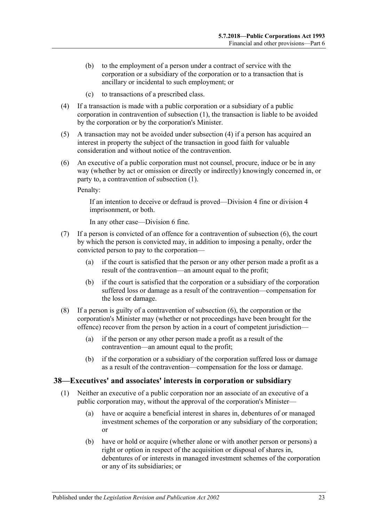- (b) to the employment of a person under a contract of service with the corporation or a subsidiary of the corporation or to a transaction that is ancillary or incidental to such employment; or
- (c) to transactions of a prescribed class.
- <span id="page-22-1"></span>(4) If a transaction is made with a public corporation or a subsidiary of a public corporation in contravention of [subsection](#page-21-1) (1), the transaction is liable to be avoided by the corporation or by the corporation's Minister.
- (5) A transaction may not be avoided under [subsection](#page-22-1) (4) if a person has acquired an interest in property the subject of the transaction in good faith for valuable consideration and without notice of the contravention.
- <span id="page-22-2"></span>(6) An executive of a public corporation must not counsel, procure, induce or be in any way (whether by act or omission or directly or indirectly) knowingly concerned in, or party to, a contravention of [subsection](#page-21-1) (1).

Penalty:

If an intention to deceive or defraud is proved—Division 4 fine or division 4 imprisonment, or both.

In any other case—Division 6 fine.

- (7) If a person is convicted of an offence for a contravention of [subsection](#page-22-2) (6), the court by which the person is convicted may, in addition to imposing a penalty, order the convicted person to pay to the corporation—
	- (a) if the court is satisfied that the person or any other person made a profit as a result of the contravention—an amount equal to the profit;
	- (b) if the court is satisfied that the corporation or a subsidiary of the corporation suffered loss or damage as a result of the contravention—compensation for the loss or damage.
- (8) If a person is guilty of a contravention of [subsection](#page-22-2) (6), the corporation or the corporation's Minister may (whether or not proceedings have been brought for the offence) recover from the person by action in a court of competent jurisdiction—
	- (a) if the person or any other person made a profit as a result of the contravention—an amount equal to the profit;
	- (b) if the corporation or a subsidiary of the corporation suffered loss or damage as a result of the contravention—compensation for the loss or damage.

#### <span id="page-22-3"></span><span id="page-22-0"></span>38—Executives' and associates' interests in corporation or subsidiary

- (1) Neither an executive of a public corporation nor an associate of an executive of a public corporation may, without the approval of the corporation's Minister—
	- (a) have or acquire a beneficial interest in shares in, debentures of or managed investment schemes of the corporation or any subsidiary of the corporation; or
	- (b) have or hold or acquire (whether alone or with another person or persons) a right or option in respect of the acquisition or disposal of shares in, debentures of or interests in managed investment schemes of the corporation or any of its subsidiaries; or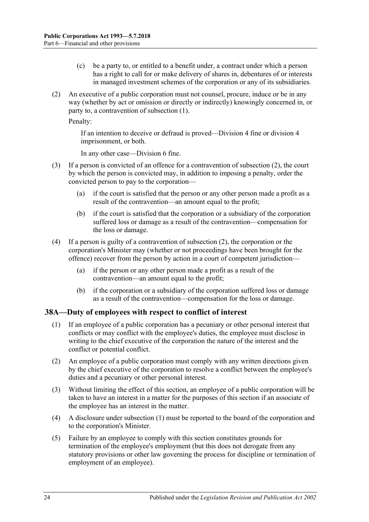- (c) be a party to, or entitled to a benefit under, a contract under which a person has a right to call for or make delivery of shares in, debentures of or interests in managed investment schemes of the corporation or any of its subsidiaries.
- <span id="page-23-1"></span>(2) An executive of a public corporation must not counsel, procure, induce or be in any way (whether by act or omission or directly or indirectly) knowingly concerned in, or party to, a contravention of [subsection](#page-22-3) (1).

Penalty:

If an intention to deceive or defraud is proved—Division 4 fine or division 4 imprisonment, or both.

In any other case—Division 6 fine.

- (3) If a person is convicted of an offence for a contravention of [subsection](#page-23-1) (2), the court by which the person is convicted may, in addition to imposing a penalty, order the convicted person to pay to the corporation—
	- (a) if the court is satisfied that the person or any other person made a profit as a result of the contravention—an amount equal to the profit;
	- (b) if the court is satisfied that the corporation or a subsidiary of the corporation suffered loss or damage as a result of the contravention—compensation for the loss or damage.
- (4) If a person is guilty of a contravention of [subsection](#page-23-1) (2), the corporation or the corporation's Minister may (whether or not proceedings have been brought for the offence) recover from the person by action in a court of competent jurisdiction—
	- (a) if the person or any other person made a profit as a result of the contravention—an amount equal to the profit;
	- (b) if the corporation or a subsidiary of the corporation suffered loss or damage as a result of the contravention—compensation for the loss or damage.

### <span id="page-23-2"></span><span id="page-23-0"></span>39B**38A—Duty of employees with respect to conflict of interest**

- (1) If an employee of a public corporation has a pecuniary or other personal interest that conflicts or may conflict with the employee's duties, the employee must disclose in writing to the chief executive of the corporation the nature of the interest and the conflict or potential conflict.
- (2) An employee of a public corporation must comply with any written directions given by the chief executive of the corporation to resolve a conflict between the employee's duties and a pecuniary or other personal interest.
- (3) Without limiting the effect of this section, an employee of a public corporation will be taken to have an interest in a matter for the purposes of this section if an associate of the employee has an interest in the matter.
- (4) A disclosure under [subsection](#page-23-2) (1) must be reported to the board of the corporation and to the corporation's Minister.
- (5) Failure by an employee to comply with this section constitutes grounds for termination of the employee's employment (but this does not derogate from any statutory provisions or other law governing the process for discipline or termination of employment of an employee).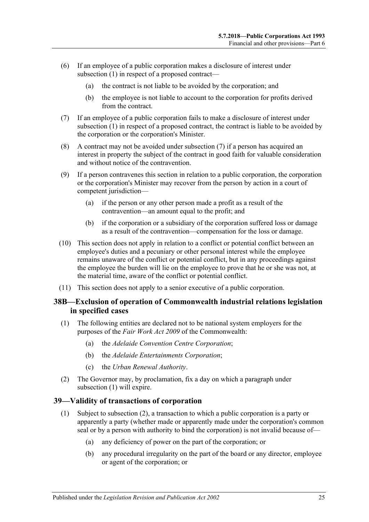- (6) If an employee of a public corporation makes a disclosure of interest under [subsection](#page-23-2) (1) in respect of a proposed contract—
	- (a) the contract is not liable to be avoided by the corporation; and
	- (b) the employee is not liable to account to the corporation for profits derived from the contract.
- <span id="page-24-2"></span>(7) If an employee of a public corporation fails to make a disclosure of interest under [subsection](#page-23-2) (1) in respect of a proposed contract, the contract is liable to be avoided by the corporation or the corporation's Minister.
- (8) A contract may not be avoided under [subsection](#page-24-2) (7) if a person has acquired an interest in property the subject of the contract in good faith for valuable consideration and without notice of the contravention.
- (9) If a person contravenes this section in relation to a public corporation, the corporation or the corporation's Minister may recover from the person by action in a court of competent jurisdiction—
	- (a) if the person or any other person made a profit as a result of the contravention—an amount equal to the profit; and
	- (b) if the corporation or a subsidiary of the corporation suffered loss or damage as a result of the contravention—compensation for the loss or damage.
- (10) This section does not apply in relation to a conflict or potential conflict between an employee's duties and a pecuniary or other personal interest while the employee remains unaware of the conflict or potential conflict, but in any proceedings against the employee the burden will lie on the employee to prove that he or she was not, at the material time, aware of the conflict or potential conflict.
- (11) This section does not apply to a senior executive of a public corporation.

#### <span id="page-24-0"></span>40B**38B—Exclusion of operation of Commonwealth industrial relations legislation in specified cases**

- <span id="page-24-3"></span>(1) The following entities are declared not to be national system employers for the purposes of the *Fair Work Act 2009* of the Commonwealth:
	- (a) the *Adelaide Convention Centre Corporation*;
	- (b) the *Adelaide Entertainments Corporation*;
	- (c) the *Urban Renewal Authority*.
- (2) The Governor may, by proclamation, fix a day on which a paragraph under [subsection](#page-24-3) (1) will expire.

#### <span id="page-24-1"></span>41B**39—Validity of transactions of corporation**

- (1) Subject to [subsection](#page-25-1) (2), a transaction to which a public corporation is a party or apparently a party (whether made or apparently made under the corporation's common seal or by a person with authority to bind the corporation) is not invalid because of—
	- (a) any deficiency of power on the part of the corporation; or
	- (b) any procedural irregularity on the part of the board or any director, employee or agent of the corporation; or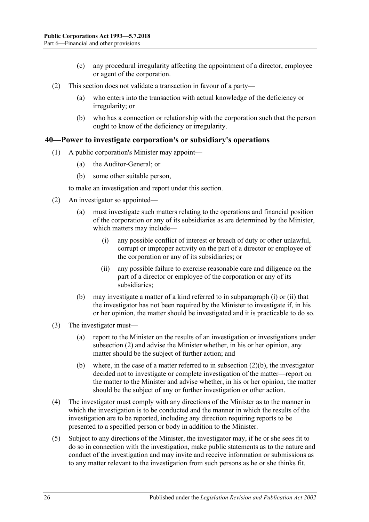- (c) any procedural irregularity affecting the appointment of a director, employee or agent of the corporation.
- <span id="page-25-1"></span>(2) This section does not validate a transaction in favour of a party—
	- (a) who enters into the transaction with actual knowledge of the deficiency or irregularity; or
	- (b) who has a connection or relationship with the corporation such that the person ought to know of the deficiency or irregularity.

#### <span id="page-25-0"></span>42B**40—Power to investigate corporation's or subsidiary's operations**

- (1) A public corporation's Minister may appoint—
	- (a) the Auditor-General; or
	- (b) some other suitable person,

to make an investigation and report under this section.

- <span id="page-25-4"></span><span id="page-25-2"></span>(2) An investigator so appointed—
	- (a) must investigate such matters relating to the operations and financial position of the corporation or any of its subsidiaries as are determined by the Minister, which matters may include—
		- (i) any possible conflict of interest or breach of duty or other unlawful, corrupt or improper activity on the part of a director or employee of the corporation or any of its subsidiaries; or
		- (ii) any possible failure to exercise reasonable care and diligence on the part of a director or employee of the corporation or any of its subsidiaries;
	- (b) may investigate a matter of a kind referred to in [subparagraph](#page-25-2) (i) or [\(ii\)](#page-25-3) that the investigator has not been required by the Minister to investigate if, in his or her opinion, the matter should be investigated and it is practicable to do so.
- <span id="page-25-5"></span><span id="page-25-3"></span>(3) The investigator must—
	- (a) report to the Minister on the results of an investigation or investigations under [subsection](#page-25-4) (2) and advise the Minister whether, in his or her opinion, any matter should be the subject of further action; and
	- (b) where, in the case of a matter referred to in [subsection](#page-25-5)  $(2)(b)$ , the investigator decided not to investigate or complete investigation of the matter—report on the matter to the Minister and advise whether, in his or her opinion, the matter should be the subject of any or further investigation or other action.
- (4) The investigator must comply with any directions of the Minister as to the manner in which the investigation is to be conducted and the manner in which the results of the investigation are to be reported, including any direction requiring reports to be presented to a specified person or body in addition to the Minister.
- (5) Subject to any directions of the Minister, the investigator may, if he or she sees fit to do so in connection with the investigation, make public statements as to the nature and conduct of the investigation and may invite and receive information or submissions as to any matter relevant to the investigation from such persons as he or she thinks fit.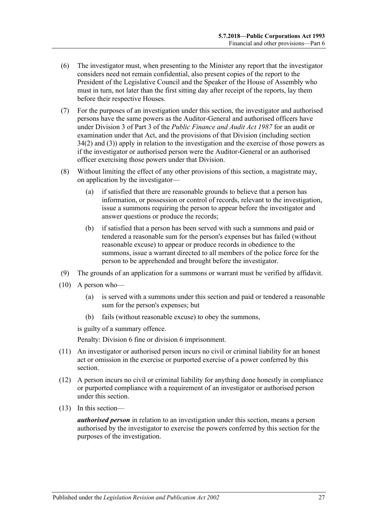- (6) The investigator must, when presenting to the Minister any report that the investigator considers need not remain confidential, also present copies of the report to the President of the Legislative Council and the Speaker of the House of Assembly who must in turn, not later than the first sitting day after receipt of the reports, lay them before their respective Houses.
- (7) For the purposes of an investigation under this section, the investigator and authorised persons have the same powers as the Auditor-General and authorised officers have under Division 3 of Part 3 of the *[Public Finance and Audit Act](http://www.legislation.sa.gov.au/index.aspx?action=legref&type=act&legtitle=Public%20Finance%20and%20Audit%20Act%201987) 1987* for an audit or examination under that Act, and the provisions of that Division (including section 34(2) and (3)) apply in relation to the investigation and the exercise of those powers as if the investigator or authorised person were the Auditor-General or an authorised officer exercising those powers under that Division.
- (8) Without limiting the effect of any other provisions of this section, a magistrate may, on application by the investigator—
	- (a) if satisfied that there are reasonable grounds to believe that a person has information, or possession or control of records, relevant to the investigation, issue a summons requiring the person to appear before the investigator and answer questions or produce the records;
	- (b) if satisfied that a person has been served with such a summons and paid or tendered a reasonable sum for the person's expenses but has failed (without reasonable excuse) to appear or produce records in obedience to the summons, issue a warrant directed to all members of the police force for the person to be apprehended and brought before the investigator.
- (9) The grounds of an application for a summons or warrant must be verified by affidavit.
- (10) A person who—
	- (a) is served with a summons under this section and paid or tendered a reasonable sum for the person's expenses; but
	- (b) fails (without reasonable excuse) to obey the summons,

is guilty of a summary offence.

Penalty: Division 6 fine or division 6 imprisonment.

- (11) An investigator or authorised person incurs no civil or criminal liability for an honest act or omission in the exercise or purported exercise of a power conferred by this section.
- (12) A person incurs no civil or criminal liability for anything done honestly in compliance or purported compliance with a requirement of an investigator or authorised person under this section.
- (13) In this section—

*authorised person* in relation to an investigation under this section, means a person authorised by the investigator to exercise the powers conferred by this section for the purposes of the investigation.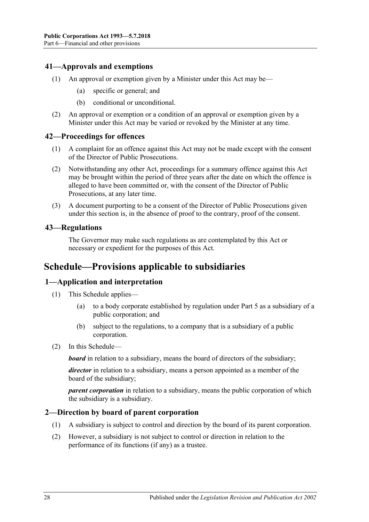#### <span id="page-27-0"></span>43B**41—Approvals and exemptions**

- (1) An approval or exemption given by a Minister under this Act may be—
	- (a) specific or general; and
	- (b) conditional or unconditional.
- (2) An approval or exemption or a condition of an approval or exemption given by a Minister under this Act may be varied or revoked by the Minister at any time.

#### <span id="page-27-1"></span>44B**42—Proceedings for offences**

- (1) A complaint for an offence against this Act may not be made except with the consent of the Director of Public Prosecutions.
- (2) Notwithstanding any other Act, proceedings for a summary offence against this Act may be brought within the period of three years after the date on which the offence is alleged to have been committed or, with the consent of the Director of Public Prosecutions, at any later time.
- (3) A document purporting to be a consent of the Director of Public Prosecutions given under this section is, in the absence of proof to the contrary, proof of the consent.

#### <span id="page-27-2"></span>45B**43—Regulations**

The Governor may make such regulations as are contemplated by this Act or necessary or expedient for the purposes of this Act.

### <span id="page-27-3"></span>**Schedule—Provisions applicable to subsidiaries**

#### <span id="page-27-4"></span>46B**1—Application and interpretation**

- (1) This Schedule applies—
	- (a) to a body corporate established by regulation under [Part 5](#page-13-3) as a subsidiary of a public corporation; and
	- (b) subject to the regulations, to a company that is a subsidiary of a public corporation.
- (2) In this Schedule—

*board* in relation to a subsidiary, means the board of directors of the subsidiary;

*director* in relation to a subsidiary, means a person appointed as a member of the board of the subsidiary;

*parent corporation* in relation to a subsidiary, means the public corporation of which the subsidiary is a subsidiary.

#### <span id="page-27-5"></span>47B**2—Direction by board of parent corporation**

- (1) A subsidiary is subject to control and direction by the board of its parent corporation.
- (2) However, a subsidiary is not subject to control or direction in relation to the performance of its functions (if any) as a trustee.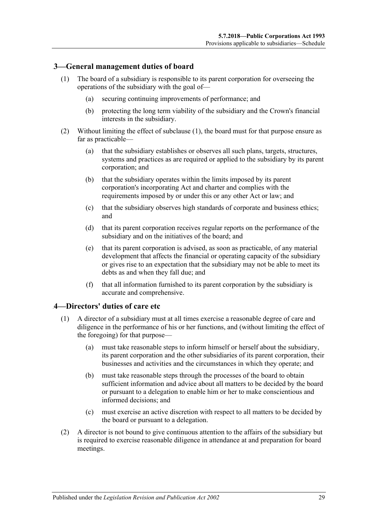#### <span id="page-28-2"></span><span id="page-28-0"></span>48B**3—General management duties of board**

- (1) The board of a subsidiary is responsible to its parent corporation for overseeing the operations of the subsidiary with the goal of—
	- (a) securing continuing improvements of performance; and
	- (b) protecting the long term viability of the subsidiary and the Crown's financial interests in the subsidiary.
- (2) Without limiting the effect of [subclause](#page-28-2) (1), the board must for that purpose ensure as far as practicable—
	- (a) that the subsidiary establishes or observes all such plans, targets, structures, systems and practices as are required or applied to the subsidiary by its parent corporation; and
	- (b) that the subsidiary operates within the limits imposed by its parent corporation's incorporating Act and charter and complies with the requirements imposed by or under this or any other Act or law; and
	- (c) that the subsidiary observes high standards of corporate and business ethics; and
	- (d) that its parent corporation receives regular reports on the performance of the subsidiary and on the initiatives of the board; and
	- (e) that its parent corporation is advised, as soon as practicable, of any material development that affects the financial or operating capacity of the subsidiary or gives rise to an expectation that the subsidiary may not be able to meet its debts as and when they fall due; and
	- (f) that all information furnished to its parent corporation by the subsidiary is accurate and comprehensive.

#### <span id="page-28-1"></span>49B**4—Directors' duties of care etc**

- (1) A director of a subsidiary must at all times exercise a reasonable degree of care and diligence in the performance of his or her functions, and (without limiting the effect of the foregoing) for that purpose—
	- (a) must take reasonable steps to inform himself or herself about the subsidiary, its parent corporation and the other subsidiaries of its parent corporation, their businesses and activities and the circumstances in which they operate; and
	- (b) must take reasonable steps through the processes of the board to obtain sufficient information and advice about all matters to be decided by the board or pursuant to a delegation to enable him or her to make conscientious and informed decisions; and
	- (c) must exercise an active discretion with respect to all matters to be decided by the board or pursuant to a delegation.
- (2) A director is not bound to give continuous attention to the affairs of the subsidiary but is required to exercise reasonable diligence in attendance at and preparation for board meetings.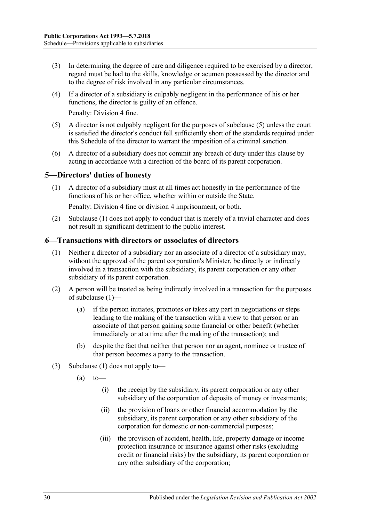- (3) In determining the degree of care and diligence required to be exercised by a director, regard must be had to the skills, knowledge or acumen possessed by the director and to the degree of risk involved in any particular circumstances.
- (4) If a director of a subsidiary is culpably negligent in the performance of his or her functions, the director is guilty of an offence.

Penalty: Division 4 fine.

- (5) A director is not culpably negligent for the purposes of subclause (5) unless the court is satisfied the director's conduct fell sufficiently short of the standards required under this Schedule of the director to warrant the imposition of a criminal sanction.
- (6) A director of a subsidiary does not commit any breach of duty under this clause by acting in accordance with a direction of the board of its parent corporation.

#### <span id="page-29-2"></span><span id="page-29-0"></span>5—Directors' duties of honesty

(1) A director of a subsidiary must at all times act honestly in the performance of the functions of his or her office, whether within or outside the State.

Penalty: Division 4 fine or division 4 imprisonment, or both.

(2) [Subclause](#page-29-2) (1) does not apply to conduct that is merely of a trivial character and does not result in significant detriment to the public interest.

#### <span id="page-29-3"></span><span id="page-29-1"></span>51B**6—Transactions with directors or associates of directors**

- (1) Neither a director of a subsidiary nor an associate of a director of a subsidiary may, without the approval of the parent corporation's Minister, be directly or indirectly involved in a transaction with the subsidiary, its parent corporation or any other subsidiary of its parent corporation.
- (2) A person will be treated as being indirectly involved in a transaction for the purposes of [subclause](#page-29-3) (1)—
	- (a) if the person initiates, promotes or takes any part in negotiations or steps leading to the making of the transaction with a view to that person or an associate of that person gaining some financial or other benefit (whether immediately or at a time after the making of the transaction); and
	- (b) despite the fact that neither that person nor an agent, nominee or trustee of that person becomes a party to the transaction.
- (3) [Subclause](#page-29-3) (1) does not apply to—
	- $(a)$  to
		- (i) the receipt by the subsidiary, its parent corporation or any other subsidiary of the corporation of deposits of money or investments;
		- (ii) the provision of loans or other financial accommodation by the subsidiary, its parent corporation or any other subsidiary of the corporation for domestic or non-commercial purposes;
		- (iii) the provision of accident, health, life, property damage or income protection insurance or insurance against other risks (excluding credit or financial risks) by the subsidiary, its parent corporation or any other subsidiary of the corporation;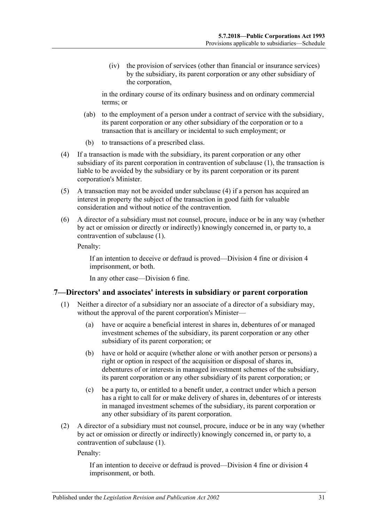(iv) the provision of services (other than financial or insurance services) by the subsidiary, its parent corporation or any other subsidiary of the corporation,

in the ordinary course of its ordinary business and on ordinary commercial terms; or

- (ab) to the employment of a person under a contract of service with the subsidiary, its parent corporation or any other subsidiary of the corporation or to a transaction that is ancillary or incidental to such employment; or
- (b) to transactions of a prescribed class.
- <span id="page-30-1"></span>(4) If a transaction is made with the subsidiary, its parent corporation or any other subsidiary of its parent corporation in contravention of [subclause](#page-29-3) (1), the transaction is liable to be avoided by the subsidiary or by its parent corporation or its parent corporation's Minister.
- (5) A transaction may not be avoided under [subclause](#page-30-1) (4) if a person has acquired an interest in property the subject of the transaction in good faith for valuable consideration and without notice of the contravention.
- (6) A director of a subsidiary must not counsel, procure, induce or be in any way (whether by act or omission or directly or indirectly) knowingly concerned in, or party to, a contravention of [subclause](#page-29-3) (1).

Penalty:

If an intention to deceive or defraud is proved—Division 4 fine or division 4 imprisonment, or both.

In any other case—Division 6 fine.

#### <span id="page-30-2"></span><span id="page-30-0"></span>52B**7—Directors' and associates' interests in subsidiary or parent corporation**

- (1) Neither a director of a subsidiary nor an associate of a director of a subsidiary may, without the approval of the parent corporation's Minister—
	- (a) have or acquire a beneficial interest in shares in, debentures of or managed investment schemes of the subsidiary, its parent corporation or any other subsidiary of its parent corporation; or
	- (b) have or hold or acquire (whether alone or with another person or persons) a right or option in respect of the acquisition or disposal of shares in, debentures of or interests in managed investment schemes of the subsidiary, its parent corporation or any other subsidiary of its parent corporation; or
	- (c) be a party to, or entitled to a benefit under, a contract under which a person has a right to call for or make delivery of shares in, debentures of or interests in managed investment schemes of the subsidiary, its parent corporation or any other subsidiary of its parent corporation.
- (2) A director of a subsidiary must not counsel, procure, induce or be in any way (whether by act or omission or directly or indirectly) knowingly concerned in, or party to, a contravention of [subclause](#page-30-2) (1).

Penalty:

If an intention to deceive or defraud is proved—Division 4 fine or division 4 imprisonment, or both.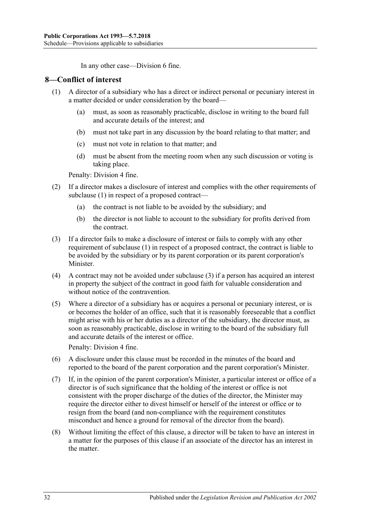In any other case—Division 6 fine.

#### <span id="page-31-1"></span><span id="page-31-0"></span>53B**8—Conflict of interest**

- (1) A director of a subsidiary who has a direct or indirect personal or pecuniary interest in a matter decided or under consideration by the board—
	- (a) must, as soon as reasonably practicable, disclose in writing to the board full and accurate details of the interest; and
	- (b) must not take part in any discussion by the board relating to that matter; and
	- (c) must not vote in relation to that matter; and
	- (d) must be absent from the meeting room when any such discussion or voting is taking place.

Penalty: Division 4 fine.

- (2) If a director makes a disclosure of interest and complies with the other requirements of [subclause](#page-31-1) (1) in respect of a proposed contract—
	- (a) the contract is not liable to be avoided by the subsidiary; and
	- (b) the director is not liable to account to the subsidiary for profits derived from the contract.
- <span id="page-31-2"></span>(3) If a director fails to make a disclosure of interest or fails to comply with any other requirement of [subclause](#page-31-1) (1) in respect of a proposed contract, the contract is liable to be avoided by the subsidiary or by its parent corporation or its parent corporation's Minister.
- (4) A contract may not be avoided under [subclause](#page-31-2) (3) if a person has acquired an interest in property the subject of the contract in good faith for valuable consideration and without notice of the contravention.
- (5) Where a director of a subsidiary has or acquires a personal or pecuniary interest, or is or becomes the holder of an office, such that it is reasonably foreseeable that a conflict might arise with his or her duties as a director of the subsidiary, the director must, as soon as reasonably practicable, disclose in writing to the board of the subsidiary full and accurate details of the interest or office.

Penalty: Division 4 fine.

- (6) A disclosure under this clause must be recorded in the minutes of the board and reported to the board of the parent corporation and the parent corporation's Minister.
- (7) If, in the opinion of the parent corporation's Minister, a particular interest or office of a director is of such significance that the holding of the interest or office is not consistent with the proper discharge of the duties of the director, the Minister may require the director either to divest himself or herself of the interest or office or to resign from the board (and non-compliance with the requirement constitutes misconduct and hence a ground for removal of the director from the board).
- (8) Without limiting the effect of this clause, a director will be taken to have an interest in a matter for the purposes of this clause if an associate of the director has an interest in the matter.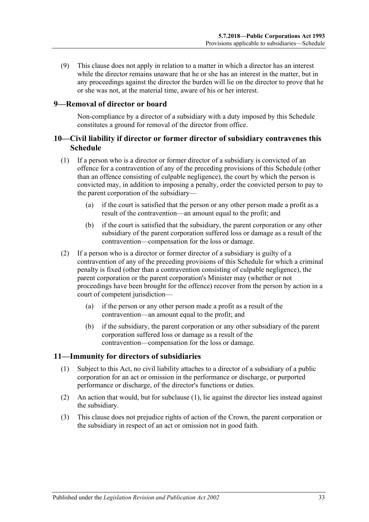(9) This clause does not apply in relation to a matter in which a director has an interest while the director remains unaware that he or she has an interest in the matter, but in any proceedings against the director the burden will lie on the director to prove that he or she was not, at the material time, aware of his or her interest.

#### <span id="page-32-0"></span>54B**9—Removal of director or board**

Non-compliance by a director of a subsidiary with a duty imposed by this Schedule constitutes a ground for removal of the director from office.

#### <span id="page-32-1"></span>55B**10—Civil liability if director or former director of subsidiary contravenes this Schedule**

- (1) If a person who is a director or former director of a subsidiary is convicted of an offence for a contravention of any of the preceding provisions of this Schedule (other than an offence consisting of culpable negligence), the court by which the person is convicted may, in addition to imposing a penalty, order the convicted person to pay to the parent corporation of the subsidiary—
	- (a) if the court is satisfied that the person or any other person made a profit as a result of the contravention—an amount equal to the profit; and
	- (b) if the court is satisfied that the subsidiary, the parent corporation or any other subsidiary of the parent corporation suffered loss or damage as a result of the contravention—compensation for the loss or damage.
- (2) If a person who is a director or former director of a subsidiary is guilty of a contravention of any of the preceding provisions of this Schedule for which a criminal penalty is fixed (other than a contravention consisting of culpable negligence), the parent corporation or the parent corporation's Minister may (whether or not proceedings have been brought for the offence) recover from the person by action in a court of competent jurisdiction—
	- (a) if the person or any other person made a profit as a result of the contravention—an amount equal to the profit; and
	- (b) if the subsidiary, the parent corporation or any other subsidiary of the parent corporation suffered loss or damage as a result of the contravention—compensation for the loss or damage.

#### <span id="page-32-3"></span><span id="page-32-2"></span>56B**11—Immunity for directors of subsidiaries**

- (1) Subject to this Act, no civil liability attaches to a director of a subsidiary of a public corporation for an act or omission in the performance or discharge, or purported performance or discharge, of the director's functions or duties.
- (2) An action that would, but for [subclause](#page-32-3) (1), lie against the director lies instead against the subsidiary.
- (3) This clause does not prejudice rights of action of the Crown, the parent corporation or the subsidiary in respect of an act or omission not in good faith.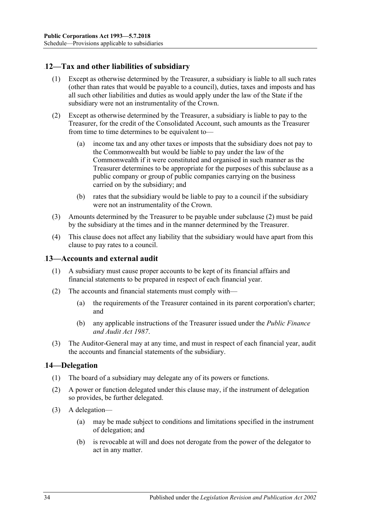### <span id="page-33-0"></span>57B**12—Tax and other liabilities of subsidiary**

- (1) Except as otherwise determined by the Treasurer, a subsidiary is liable to all such rates (other than rates that would be payable to a council), duties, taxes and imposts and has all such other liabilities and duties as would apply under the law of the State if the subsidiary were not an instrumentality of the Crown.
- <span id="page-33-3"></span>(2) Except as otherwise determined by the Treasurer, a subsidiary is liable to pay to the Treasurer, for the credit of the Consolidated Account, such amounts as the Treasurer from time to time determines to be equivalent to—
	- (a) income tax and any other taxes or imposts that the subsidiary does not pay to the Commonwealth but would be liable to pay under the law of the Commonwealth if it were constituted and organised in such manner as the Treasurer determines to be appropriate for the purposes of this subclause as a public company or group of public companies carrying on the business carried on by the subsidiary; and
	- (b) rates that the subsidiary would be liable to pay to a council if the subsidiary were not an instrumentality of the Crown.
- (3) Amounts determined by the Treasurer to be payable under [subclause](#page-33-3) (2) must be paid by the subsidiary at the times and in the manner determined by the Treasurer.
- (4) This clause does not affect any liability that the subsidiary would have apart from this clause to pay rates to a council.

#### <span id="page-33-1"></span>58B**13—Accounts and external audit**

- (1) A subsidiary must cause proper accounts to be kept of its financial affairs and financial statements to be prepared in respect of each financial year.
- (2) The accounts and financial statements must comply with—
	- (a) the requirements of the Treasurer contained in its parent corporation's charter; and
	- (b) any applicable instructions of the Treasurer issued under the *[Public Finance](http://www.legislation.sa.gov.au/index.aspx?action=legref&type=act&legtitle=Public%20Finance%20and%20Audit%20Act%201987)  [and Audit Act](http://www.legislation.sa.gov.au/index.aspx?action=legref&type=act&legtitle=Public%20Finance%20and%20Audit%20Act%201987) 1987*.
- (3) The Auditor-General may at any time, and must in respect of each financial year, audit the accounts and financial statements of the subsidiary.

#### <span id="page-33-2"></span>59B**14—Delegation**

- (1) The board of a subsidiary may delegate any of its powers or functions.
- (2) A power or function delegated under this clause may, if the instrument of delegation so provides, be further delegated.
- (3) A delegation—
	- (a) may be made subject to conditions and limitations specified in the instrument of delegation; and
	- (b) is revocable at will and does not derogate from the power of the delegator to act in any matter.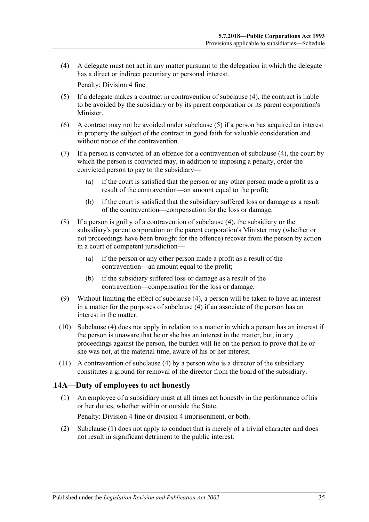<span id="page-34-1"></span>(4) A delegate must not act in any matter pursuant to the delegation in which the delegate has a direct or indirect pecuniary or personal interest.

Penalty: Division 4 fine.

- <span id="page-34-2"></span>(5) If a delegate makes a contract in contravention of [subclause](#page-34-1) (4), the contract is liable to be avoided by the subsidiary or by its parent corporation or its parent corporation's Minister.
- (6) A contract may not be avoided under [subclause](#page-34-2) (5) if a person has acquired an interest in property the subject of the contract in good faith for valuable consideration and without notice of the contravention.
- (7) If a person is convicted of an offence for a contravention of [subclause](#page-34-1) (4), the court by which the person is convicted may, in addition to imposing a penalty, order the convicted person to pay to the subsidiary—
	- (a) if the court is satisfied that the person or any other person made a profit as a result of the contravention—an amount equal to the profit;
	- (b) if the court is satisfied that the subsidiary suffered loss or damage as a result of the contravention—compensation for the loss or damage.
- (8) If a person is guilty of a contravention of [subclause](#page-34-1) (4), the subsidiary or the subsidiary's parent corporation or the parent corporation's Minister may (whether or not proceedings have been brought for the offence) recover from the person by action in a court of competent jurisdiction—
	- (a) if the person or any other person made a profit as a result of the contravention—an amount equal to the profit;
	- (b) if the subsidiary suffered loss or damage as a result of the contravention—compensation for the loss or damage.
- (9) Without limiting the effect of [subclause](#page-34-1) (4), a person will be taken to have an interest in a matter for the purposes of [subclause](#page-34-1) (4) if an associate of the person has an interest in the matter.
- (10) [Subclause](#page-34-1) (4) does not apply in relation to a matter in which a person has an interest if the person is unaware that he or she has an interest in the matter, but, in any proceedings against the person, the burden will lie on the person to prove that he or she was not, at the material time, aware of his or her interest.
- (11) A contravention of [subclause](#page-34-1) (4) by a person who is a director of the subsidiary constitutes a ground for removal of the director from the board of the subsidiary.

#### <span id="page-34-3"></span><span id="page-34-0"></span>60B**14A—Duty of employees to act honestly**

- (1) An employee of a subsidiary must at all times act honestly in the performance of his or her duties, whether within or outside the State. Penalty: Division 4 fine or division 4 imprisonment, or both.
- (2) [Subclause](#page-34-3) (1) does not apply to conduct that is merely of a trivial character and does not result in significant detriment to the public interest.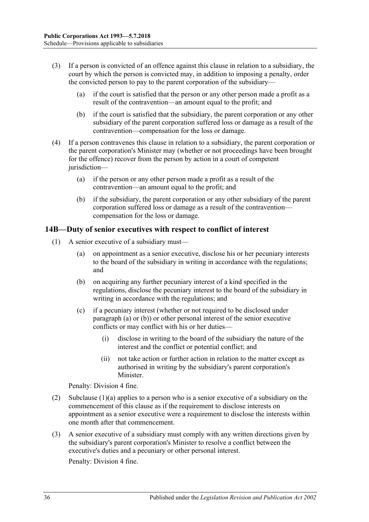- (3) If a person is convicted of an offence against this clause in relation to a subsidiary, the court by which the person is convicted may, in addition to imposing a penalty, order the convicted person to pay to the parent corporation of the subsidiary—
	- (a) if the court is satisfied that the person or any other person made a profit as a result of the contravention—an amount equal to the profit; and
	- (b) if the court is satisfied that the subsidiary, the parent corporation or any other subsidiary of the parent corporation suffered loss or damage as a result of the contravention—compensation for the loss or damage.
- (4) If a person contravenes this clause in relation to a subsidiary, the parent corporation or the parent corporation's Minister may (whether or not proceedings have been brought for the offence) recover from the person by action in a court of competent jurisdiction—
	- (a) if the person or any other person made a profit as a result of the contravention—an amount equal to the profit; and
	- (b) if the subsidiary, the parent corporation or any other subsidiary of the parent corporation suffered loss or damage as a result of the contravention compensation for the loss or damage.

#### <span id="page-35-4"></span><span id="page-35-0"></span>61B**14B—Duty of senior executives with respect to conflict of interest**

- <span id="page-35-3"></span><span id="page-35-2"></span><span id="page-35-1"></span>(1) A senior executive of a subsidiary must—
	- (a) on appointment as a senior executive, disclose his or her pecuniary interests to the board of the subsidiary in writing in accordance with the regulations; and
	- (b) on acquiring any further pecuniary interest of a kind specified in the regulations, disclose the pecuniary interest to the board of the subsidiary in writing in accordance with the regulations; and
	- (c) if a pecuniary interest (whether or not required to be disclosed under [paragraph](#page-35-1) (a) or [\(b\)\)](#page-35-2) or other personal interest of the senior executive conflicts or may conflict with his or her duties—
		- (i) disclose in writing to the board of the subsidiary the nature of the interest and the conflict or potential conflict; and
		- (ii) not take action or further action in relation to the matter except as authorised in writing by the subsidiary's parent corporation's Minister.

Penalty: Division 4 fine.

- (2) [Subclause](#page-35-1)  $(1)(a)$  applies to a person who is a senior executive of a subsidiary on the commencement of this clause as if the requirement to disclose interests on appointment as a senior executive were a requirement to disclose the interests within one month after that commencement.
- (3) A senior executive of a subsidiary must comply with any written directions given by the subsidiary's parent corporation's Minister to resolve a conflict between the executive's duties and a pecuniary or other personal interest. Penalty: Division 4 fine.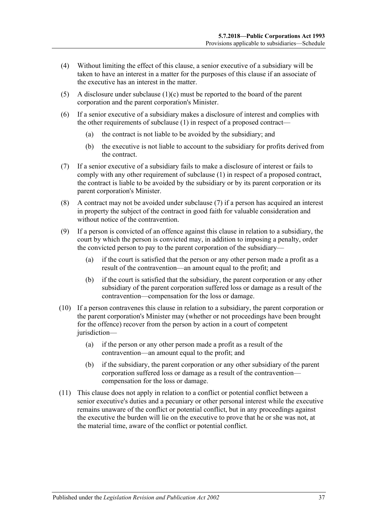- (4) Without limiting the effect of this clause, a senior executive of a subsidiary will be taken to have an interest in a matter for the purposes of this clause if an associate of the executive has an interest in the matter.
- (5) A disclosure under [subclause](#page-35-3) (1)(c) must be reported to the board of the parent corporation and the parent corporation's Minister.
- (6) If a senior executive of a subsidiary makes a disclosure of interest and complies with the other requirements of [subclause](#page-35-4) (1) in respect of a proposed contract—
	- (a) the contract is not liable to be avoided by the subsidiary; and
	- (b) the executive is not liable to account to the subsidiary for profits derived from the contract.
- <span id="page-36-0"></span>(7) If a senior executive of a subsidiary fails to make a disclosure of interest or fails to comply with any other requirement of [subclause](#page-35-4) (1) in respect of a proposed contract, the contract is liable to be avoided by the subsidiary or by its parent corporation or its parent corporation's Minister.
- (8) A contract may not be avoided under [subclause](#page-36-0) (7) if a person has acquired an interest in property the subject of the contract in good faith for valuable consideration and without notice of the contravention.
- (9) If a person is convicted of an offence against this clause in relation to a subsidiary, the court by which the person is convicted may, in addition to imposing a penalty, order the convicted person to pay to the parent corporation of the subsidiary—
	- (a) if the court is satisfied that the person or any other person made a profit as a result of the contravention—an amount equal to the profit; and
	- (b) if the court is satisfied that the subsidiary, the parent corporation or any other subsidiary of the parent corporation suffered loss or damage as a result of the contravention—compensation for the loss or damage.
- (10) If a person contravenes this clause in relation to a subsidiary, the parent corporation or the parent corporation's Minister may (whether or not proceedings have been brought for the offence) recover from the person by action in a court of competent jurisdiction—
	- (a) if the person or any other person made a profit as a result of the contravention—an amount equal to the profit; and
	- (b) if the subsidiary, the parent corporation or any other subsidiary of the parent corporation suffered loss or damage as a result of the contravention compensation for the loss or damage.
- (11) This clause does not apply in relation to a conflict or potential conflict between a senior executive's duties and a pecuniary or other personal interest while the executive remains unaware of the conflict or potential conflict, but in any proceedings against the executive the burden will lie on the executive to prove that he or she was not, at the material time, aware of the conflict or potential conflict.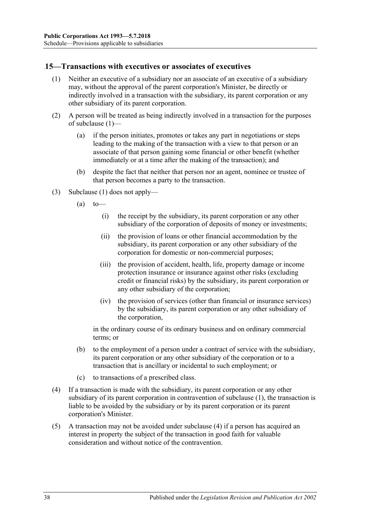#### <span id="page-37-1"></span><span id="page-37-0"></span>62B**15—Transactions with executives or associates of executives**

- (1) Neither an executive of a subsidiary nor an associate of an executive of a subsidiary may, without the approval of the parent corporation's Minister, be directly or indirectly involved in a transaction with the subsidiary, its parent corporation or any other subsidiary of its parent corporation.
- (2) A person will be treated as being indirectly involved in a transaction for the purposes of [subclause](#page-37-1) (1)—
	- (a) if the person initiates, promotes or takes any part in negotiations or steps leading to the making of the transaction with a view to that person or an associate of that person gaining some financial or other benefit (whether immediately or at a time after the making of the transaction); and
	- (b) despite the fact that neither that person nor an agent, nominee or trustee of that person becomes a party to the transaction.
- (3) [Subclause](#page-37-1) (1) does not apply—
	- $(a)$  to
		- (i) the receipt by the subsidiary, its parent corporation or any other subsidiary of the corporation of deposits of money or investments;
		- (ii) the provision of loans or other financial accommodation by the subsidiary, its parent corporation or any other subsidiary of the corporation for domestic or non-commercial purposes;
		- (iii) the provision of accident, health, life, property damage or income protection insurance or insurance against other risks (excluding credit or financial risks) by the subsidiary, its parent corporation or any other subsidiary of the corporation;
		- (iv) the provision of services (other than financial or insurance services) by the subsidiary, its parent corporation or any other subsidiary of the corporation,

in the ordinary course of its ordinary business and on ordinary commercial terms; or

- (b) to the employment of a person under a contract of service with the subsidiary, its parent corporation or any other subsidiary of the corporation or to a transaction that is ancillary or incidental to such employment; or
- (c) to transactions of a prescribed class.
- <span id="page-37-2"></span>(4) If a transaction is made with the subsidiary, its parent corporation or any other subsidiary of its parent corporation in contravention of [subclause](#page-37-1) (1), the transaction is liable to be avoided by the subsidiary or by its parent corporation or its parent corporation's Minister.
- (5) A transaction may not be avoided under [subclause](#page-37-2) (4) if a person has acquired an interest in property the subject of the transaction in good faith for valuable consideration and without notice of the contravention.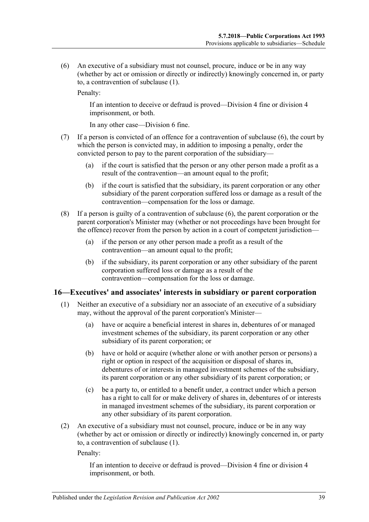<span id="page-38-1"></span>(6) An executive of a subsidiary must not counsel, procure, induce or be in any way (whether by act or omission or directly or indirectly) knowingly concerned in, or party to, a contravention of [subclause](#page-37-1) (1).

Penalty:

If an intention to deceive or defraud is proved—Division 4 fine or division 4 imprisonment, or both.

In any other case—Division 6 fine.

- (7) If a person is convicted of an offence for a contravention of [subclause](#page-38-1) (6), the court by which the person is convicted may, in addition to imposing a penalty, order the convicted person to pay to the parent corporation of the subsidiary—
	- (a) if the court is satisfied that the person or any other person made a profit as a result of the contravention—an amount equal to the profit;
	- (b) if the court is satisfied that the subsidiary, its parent corporation or any other subsidiary of the parent corporation suffered loss or damage as a result of the contravention—compensation for the loss or damage.
- (8) If a person is guilty of a contravention of [subclause](#page-38-1) (6), the parent corporation or the parent corporation's Minister may (whether or not proceedings have been brought for the offence) recover from the person by action in a court of competent jurisdiction—
	- (a) if the person or any other person made a profit as a result of the contravention—an amount equal to the profit;
	- (b) if the subsidiary, its parent corporation or any other subsidiary of the parent corporation suffered loss or damage as a result of the contravention—compensation for the loss or damage.

#### <span id="page-38-2"></span><span id="page-38-0"></span>63B**16—Executives' and associates' interests in subsidiary or parent corporation**

- (1) Neither an executive of a subsidiary nor an associate of an executive of a subsidiary may, without the approval of the parent corporation's Minister—
	- (a) have or acquire a beneficial interest in shares in, debentures of or managed investment schemes of the subsidiary, its parent corporation or any other subsidiary of its parent corporation; or
	- (b) have or hold or acquire (whether alone or with another person or persons) a right or option in respect of the acquisition or disposal of shares in, debentures of or interests in managed investment schemes of the subsidiary, its parent corporation or any other subsidiary of its parent corporation; or
	- (c) be a party to, or entitled to a benefit under, a contract under which a person has a right to call for or make delivery of shares in, debentures of or interests in managed investment schemes of the subsidiary, its parent corporation or any other subsidiary of its parent corporation.
- <span id="page-38-3"></span>(2) An executive of a subsidiary must not counsel, procure, induce or be in any way (whether by act or omission or directly or indirectly) knowingly concerned in, or party to, a contravention of [subclause](#page-38-2) (1).

Penalty:

If an intention to deceive or defraud is proved—Division 4 fine or division 4 imprisonment, or both.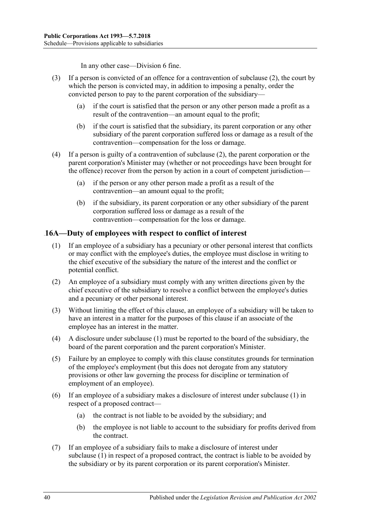In any other case—Division 6 fine.

- (3) If a person is convicted of an offence for a contravention of [subclause](#page-38-3) (2), the court by which the person is convicted may, in addition to imposing a penalty, order the convicted person to pay to the parent corporation of the subsidiary—
	- (a) if the court is satisfied that the person or any other person made a profit as a result of the contravention—an amount equal to the profit;
	- (b) if the court is satisfied that the subsidiary, its parent corporation or any other subsidiary of the parent corporation suffered loss or damage as a result of the contravention—compensation for the loss or damage.
- (4) If a person is guilty of a contravention of [subclause](#page-38-3) (2), the parent corporation or the parent corporation's Minister may (whether or not proceedings have been brought for the offence) recover from the person by action in a court of competent jurisdiction—
	- (a) if the person or any other person made a profit as a result of the contravention—an amount equal to the profit;
	- (b) if the subsidiary, its parent corporation or any other subsidiary of the parent corporation suffered loss or damage as a result of the contravention—compensation for the loss or damage.

#### <span id="page-39-1"></span><span id="page-39-0"></span>64B**16A—Duty of employees with respect to conflict of interest**

- (1) If an employee of a subsidiary has a pecuniary or other personal interest that conflicts or may conflict with the employee's duties, the employee must disclose in writing to the chief executive of the subsidiary the nature of the interest and the conflict or potential conflict.
- (2) An employee of a subsidiary must comply with any written directions given by the chief executive of the subsidiary to resolve a conflict between the employee's duties and a pecuniary or other personal interest.
- (3) Without limiting the effect of this clause, an employee of a subsidiary will be taken to have an interest in a matter for the purposes of this clause if an associate of the employee has an interest in the matter.
- (4) A disclosure under [subclause](#page-39-1) (1) must be reported to the board of the subsidiary, the board of the parent corporation and the parent corporation's Minister.
- (5) Failure by an employee to comply with this clause constitutes grounds for termination of the employee's employment (but this does not derogate from any statutory provisions or other law governing the process for discipline or termination of employment of an employee).
- (6) If an employee of a subsidiary makes a disclosure of interest under [subclause](#page-39-1) (1) in respect of a proposed contract—
	- (a) the contract is not liable to be avoided by the subsidiary; and
	- (b) the employee is not liable to account to the subsidiary for profits derived from the contract.
- <span id="page-39-2"></span>(7) If an employee of a subsidiary fails to make a disclosure of interest under [subclause](#page-39-1) (1) in respect of a proposed contract, the contract is liable to be avoided by the subsidiary or by its parent corporation or its parent corporation's Minister.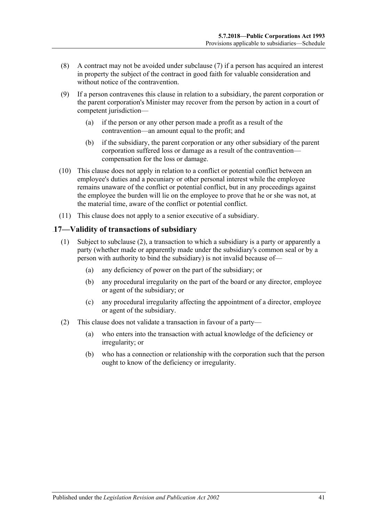- (8) A contract may not be avoided under [subclause](#page-39-2) (7) if a person has acquired an interest in property the subject of the contract in good faith for valuable consideration and without notice of the contravention.
- (9) If a person contravenes this clause in relation to a subsidiary, the parent corporation or the parent corporation's Minister may recover from the person by action in a court of competent jurisdiction—
	- (a) if the person or any other person made a profit as a result of the contravention—an amount equal to the profit; and
	- (b) if the subsidiary, the parent corporation or any other subsidiary of the parent corporation suffered loss or damage as a result of the contravention compensation for the loss or damage.
- (10) This clause does not apply in relation to a conflict or potential conflict between an employee's duties and a pecuniary or other personal interest while the employee remains unaware of the conflict or potential conflict, but in any proceedings against the employee the burden will lie on the employee to prove that he or she was not, at the material time, aware of the conflict or potential conflict.
- (11) This clause does not apply to a senior executive of a subsidiary.

#### <span id="page-40-0"></span>65B**17—Validity of transactions of subsidiary**

- (1) Subject to [subclause](#page-40-1) (2), a transaction to which a subsidiary is a party or apparently a party (whether made or apparently made under the subsidiary's common seal or by a person with authority to bind the subsidiary) is not invalid because of—
	- (a) any deficiency of power on the part of the subsidiary; or
	- (b) any procedural irregularity on the part of the board or any director, employee or agent of the subsidiary; or
	- (c) any procedural irregularity affecting the appointment of a director, employee or agent of the subsidiary.
- <span id="page-40-1"></span>(2) This clause does not validate a transaction in favour of a party—
	- (a) who enters into the transaction with actual knowledge of the deficiency or irregularity; or
	- (b) who has a connection or relationship with the corporation such that the person ought to know of the deficiency or irregularity.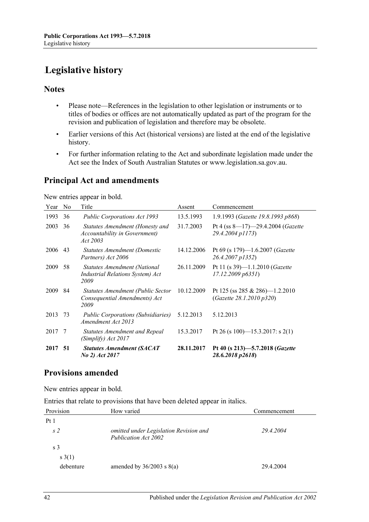# <span id="page-41-0"></span>**Legislative history**

#### **Notes**

- Please note—References in the legislation to other legislation or instruments or to titles of bodies or offices are not automatically updated as part of the program for the revision and publication of legislation and therefore may be obsolete.
- Earlier versions of this Act (historical versions) are listed at the end of the legislative history.
- For further information relating to the Act and subordinate legislation made under the Act see the Index of South Australian Statutes or www.legislation.sa.gov.au.

### **Principal Act and amendments**

New entries appear in bold.

| Year | N <sub>0</sub> | Title                                                                        | Assent     | Commencement                                                     |
|------|----------------|------------------------------------------------------------------------------|------------|------------------------------------------------------------------|
| 1993 | 36             | <b>Public Corporations Act 1993</b>                                          | 13.5.1993  | 1.9.1993 (Gazette 19.8.1993 p868)                                |
| 2003 | 36             | Statutes Amendment (Honesty and<br>Accountability in Government)<br>Act 2003 | 31.7.2003  | Pt 4 (ss $8-17$ )-29.4.2004 ( <i>Gazette</i><br>29.4.2004 p1173) |
| 2006 | 43             | Statutes Amendment (Domestic<br>Partners) Act 2006                           | 14.12.2006 | Pt 69 (s 179)—1.6.2007 ( <i>Gazette</i><br>26.4.2007 p1352)      |
| 2009 | 58             | Statutes Amendment (National<br>Industrial Relations System) Act<br>2009     | 26.11.2009 | Pt 11 (s 39)-1.1.2010 (Gazette<br>17.12.2009 p6351               |
| 2009 | 84             | Statutes Amendment (Public Sector<br>Consequential Amendments) Act<br>2009   | 10.12.2009 | Pt 125 (ss 285 & 286)-1.2.2010<br>(Gazette 28.1.2010 p320)       |
| 2013 | 73             | <i>Public Corporations (Subsidiaries)</i><br>Amendment Act 2013              | 5.12.2013  | 5.12.2013                                                        |
| 2017 | -7             | <b>Statutes Amendment and Repeal</b><br>(Simplify) Act 2017                  | 15.3.2017  | Pt 26 (s 100)—15.3.2017: s 2(1)                                  |
| 2017 | -51            | <b>Statutes Amendment (SACAT</b><br>No 2) Act 2017                           | 28.11.2017 | Pt 40 (s 213)-5.7.2018 ( <i>Gazette</i><br>28.6.2018 p2618)      |

### **Provisions amended**

New entries appear in bold.

Entries that relate to provisions that have been deleted appear in italics.

| Provision       | How varied                                                     | Commencement |
|-----------------|----------------------------------------------------------------|--------------|
| Pt <sub>1</sub> |                                                                |              |
| s <sub>2</sub>  | omitted under Legislation Revision and<br>Publication Act 2002 | 29.4.2004    |
| s <sub>3</sub>  |                                                                |              |
| s(1)            |                                                                |              |
| debenture       | amended by $36/2003$ s $8(a)$                                  | 29.4.2004    |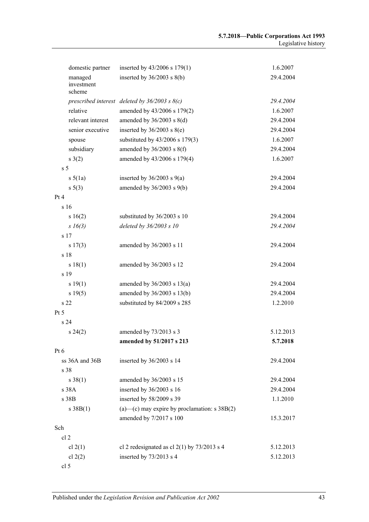|                 | domestic partner     | inserted by $43/2006$ s $179(1)$                                | 1.6.2007  |
|-----------------|----------------------|-----------------------------------------------------------------|-----------|
|                 | managed              | inserted by $36/2003$ s $8(b)$                                  | 29.4.2004 |
|                 | investment<br>scheme |                                                                 |           |
|                 |                      |                                                                 | 29.4.2004 |
|                 | relative             | prescribed interest deleted by $36/2003$ s $8(c)$               | 1.6.2007  |
|                 | relevant interest    | amended by 43/2006 s 179(2)                                     | 29.4.2004 |
|                 | senior executive     | amended by $36/2003$ s $8(d)$<br>inserted by $36/2003$ s $8(e)$ |           |
|                 |                      |                                                                 | 29.4.2004 |
|                 | spouse               | substituted by 43/2006 s 179(3)                                 | 1.6.2007  |
|                 | subsidiary           | amended by $36/2003$ s $8(f)$                                   | 29.4.2004 |
|                 | s(2)                 | amended by 43/2006 s 179(4)                                     | 1.6.2007  |
| s <sub>5</sub>  |                      |                                                                 |           |
|                 | $s\ 5(1a)$           | inserted by $36/2003$ s $9(a)$                                  | 29.4.2004 |
|                 | s 5(3)               | amended by $36/2003$ s $9(b)$                                   | 29.4.2004 |
| Pt 4            |                      |                                                                 |           |
|                 | s 16                 |                                                                 |           |
|                 | s 16(2)              | substituted by 36/2003 s 10                                     | 29.4.2004 |
|                 | s16(3)               | deleted by 36/2003 s 10                                         | 29.4.2004 |
|                 | s 17                 |                                                                 |           |
|                 | s 17(3)              | amended by 36/2003 s 11                                         | 29.4.2004 |
|                 | s 18                 |                                                                 |           |
|                 | s 18(1)              | amended by 36/2003 s 12                                         | 29.4.2004 |
|                 | s 19                 |                                                                 |           |
|                 | s 19(1)              | amended by $36/2003$ s $13(a)$                                  | 29.4.2004 |
|                 | s 19(5)              | amended by 36/2003 s 13(b)                                      | 29.4.2004 |
|                 | s <sub>22</sub>      | substituted by 84/2009 s 285                                    | 1.2.2010  |
| Pt 5            |                      |                                                                 |           |
|                 | s 24                 |                                                                 |           |
|                 | $s\,24(2)$           | amended by 73/2013 s 3                                          | 5.12.2013 |
|                 |                      | amended by 51/2017 s 213                                        | 5.7.2018  |
| Pt <sub>6</sub> |                      |                                                                 |           |
|                 | ss 36A and 36B       | inserted by 36/2003 s 14                                        | 29.4.2004 |
|                 | s 38                 |                                                                 |           |
|                 | $s \, 38(1)$         | amended by 36/2003 s 15                                         | 29.4.2004 |
|                 | s 38A                | inserted by 36/2003 s 16                                        | 29.4.2004 |
|                 | s 38B                | inserted by 58/2009 s 39                                        | 1.1.2010  |
|                 | s 38B(1)             | $(a)$ —(c) may expire by proclamation: s 38B $(2)$              |           |
|                 |                      | amended by 7/2017 s 100                                         | 15.3.2017 |
| Sch             |                      |                                                                 |           |
|                 | cl <sub>2</sub>      |                                                                 |           |
|                 | cl $2(1)$            | cl 2 redesignated as cl $2(1)$ by $73/2013$ s 4                 | 5.12.2013 |
|                 | cl $2(2)$            | inserted by 73/2013 s 4                                         | 5.12.2013 |
|                 | cl 5                 |                                                                 |           |
|                 |                      |                                                                 |           |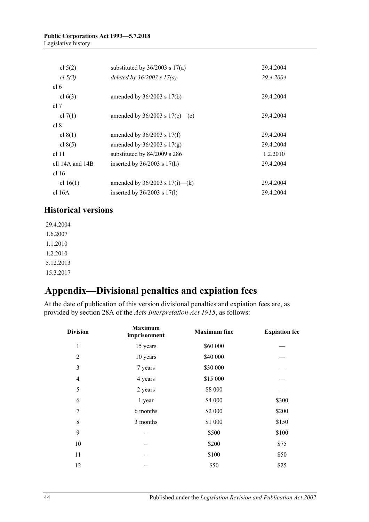| cl $5(2)$         | substituted by $36/2003$ s $17(a)$  | 29.4.2004 |
|-------------------|-------------------------------------|-----------|
| cl 5(3)           | deleted by $36/2003$ s $17(a)$      | 29.4.2004 |
| cl 6              |                                     |           |
| cl $6(3)$         | amended by $36/2003$ s $17(b)$      | 29.4.2004 |
| cl 7              |                                     |           |
| cl $7(1)$         | amended by $36/2003$ s $17(c)$ —(e) | 29.4.2004 |
| cl 8              |                                     |           |
| cl $8(1)$         | amended by $36/2003$ s $17(f)$      | 29.4.2004 |
| cl $8(5)$         | amended by $36/2003$ s $17(g)$      | 29.4.2004 |
| $cl$ 11           | substituted by 84/2009 s 286        | 1.2.2010  |
| cll 14A and $14B$ | inserted by $36/2003$ s 17(h)       | 29.4.2004 |
| cl <sub>16</sub>  |                                     |           |
| cl $16(1)$        | amended by $36/2003$ s $17(i)$ —(k) | 29.4.2004 |
| cl 16A            | inserted by $36/2003$ s $17(1)$     | 29.4.2004 |

### **Historical versions**

29.4.2004 1.6.2007 1.1.2010 1.2.2010 5.12.2013 15.3.2017

# <span id="page-43-0"></span>73B**Appendix—Divisional penalties and expiation fees**

At the date of publication of this version divisional penalties and expiation fees are, as provided by section 28A of the *[Acts Interpretation Act 1915](http://www.legislation.sa.gov.au/index.aspx?action=legref&type=act&legtitle=Acts%20Interpretation%20Act%201915)*, as follows:

| <b>Division</b> | <b>Maximum</b><br>imprisonment | <b>Maximum</b> fine | <b>Expiation fee</b> |
|-----------------|--------------------------------|---------------------|----------------------|
| $\mathbf{1}$    | 15 years                       | \$60 000            |                      |
| $\overline{2}$  | 10 years                       | \$40 000            |                      |
| 3               | 7 years                        | \$30 000            |                      |
| $\overline{4}$  | 4 years                        | \$15 000            |                      |
| 5               | 2 years                        | \$8 000             |                      |
| 6               | 1 year                         | \$4 000             | \$300                |
| 7               | 6 months                       | \$2 000             | \$200                |
| 8               | 3 months                       | \$1 000             | \$150                |
| 9               |                                | \$500               | \$100                |
| 10              |                                | \$200               | \$75                 |
| 11              |                                | \$100               | \$50                 |
| 12              |                                | \$50                | \$25                 |
|                 |                                |                     |                      |